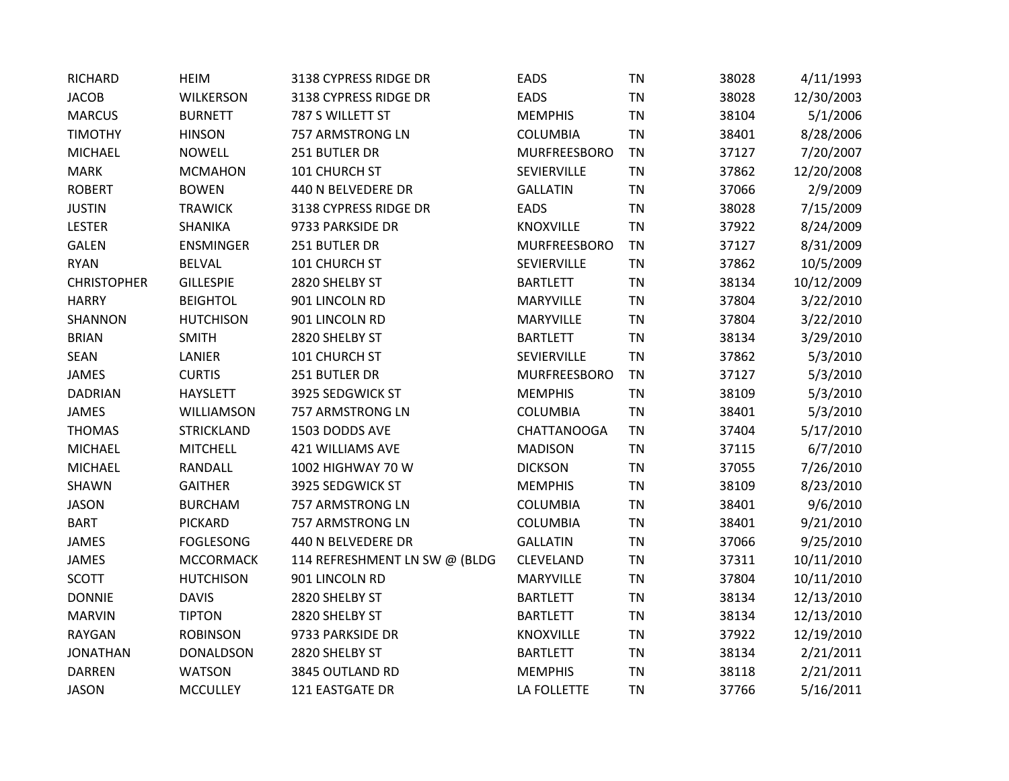| <b>RICHARD</b>     | <b>HEIM</b>       | 3138 CYPRESS RIDGE DR         | <b>EADS</b>        | <b>TN</b> | 38028 | 4/11/1993  |
|--------------------|-------------------|-------------------------------|--------------------|-----------|-------|------------|
| <b>JACOB</b>       | <b>WILKERSON</b>  | 3138 CYPRESS RIDGE DR         | <b>EADS</b>        | <b>TN</b> | 38028 | 12/30/2003 |
| <b>MARCUS</b>      | <b>BURNETT</b>    | 787 S WILLETT ST              | <b>MEMPHIS</b>     | <b>TN</b> | 38104 | 5/1/2006   |
| <b>TIMOTHY</b>     | <b>HINSON</b>     | 757 ARMSTRONG LN              | <b>COLUMBIA</b>    | <b>TN</b> | 38401 | 8/28/2006  |
| <b>MICHAEL</b>     | <b>NOWELL</b>     | 251 BUTLER DR                 | MURFREESBORO       | <b>TN</b> | 37127 | 7/20/2007  |
| <b>MARK</b>        | <b>MCMAHON</b>    | 101 CHURCH ST                 | SEVIERVILLE        | <b>TN</b> | 37862 | 12/20/2008 |
| <b>ROBERT</b>      | <b>BOWEN</b>      | 440 N BELVEDERE DR            | <b>GALLATIN</b>    | <b>TN</b> | 37066 | 2/9/2009   |
| <b>JUSTIN</b>      | <b>TRAWICK</b>    | 3138 CYPRESS RIDGE DR         | <b>EADS</b>        | <b>TN</b> | 38028 | 7/15/2009  |
| <b>LESTER</b>      | SHANIKA           | 9733 PARKSIDE DR              | KNOXVILLE          | <b>TN</b> | 37922 | 8/24/2009  |
| <b>GALEN</b>       | <b>ENSMINGER</b>  | 251 BUTLER DR                 | MURFREESBORO       | <b>TN</b> | 37127 | 8/31/2009  |
| <b>RYAN</b>        | <b>BELVAL</b>     | 101 CHURCH ST                 | SEVIERVILLE        | <b>TN</b> | 37862 | 10/5/2009  |
| <b>CHRISTOPHER</b> | <b>GILLESPIE</b>  | 2820 SHELBY ST                | <b>BARTLETT</b>    | <b>TN</b> | 38134 | 10/12/2009 |
| <b>HARRY</b>       | <b>BEIGHTOL</b>   | 901 LINCOLN RD                | <b>MARYVILLE</b>   | <b>TN</b> | 37804 | 3/22/2010  |
| SHANNON            | <b>HUTCHISON</b>  | 901 LINCOLN RD                | MARYVILLE          | <b>TN</b> | 37804 | 3/22/2010  |
| <b>BRIAN</b>       | <b>SMITH</b>      | 2820 SHELBY ST                | <b>BARTLETT</b>    | <b>TN</b> | 38134 | 3/29/2010  |
| SEAN               | LANIER            | 101 CHURCH ST                 | SEVIERVILLE        | <b>TN</b> | 37862 | 5/3/2010   |
| <b>JAMES</b>       | <b>CURTIS</b>     | 251 BUTLER DR                 | MURFREESBORO       | <b>TN</b> | 37127 | 5/3/2010   |
| <b>DADRIAN</b>     | <b>HAYSLETT</b>   | 3925 SEDGWICK ST              | <b>MEMPHIS</b>     | <b>TN</b> | 38109 | 5/3/2010   |
| <b>JAMES</b>       | WILLIAMSON        | 757 ARMSTRONG LN              | <b>COLUMBIA</b>    | <b>TN</b> | 38401 | 5/3/2010   |
| <b>THOMAS</b>      | <b>STRICKLAND</b> | 1503 DODDS AVE                | <b>CHATTANOOGA</b> | <b>TN</b> | 37404 | 5/17/2010  |
| <b>MICHAEL</b>     | <b>MITCHELL</b>   | <b>421 WILLIAMS AVE</b>       | <b>MADISON</b>     | <b>TN</b> | 37115 | 6/7/2010   |
| <b>MICHAEL</b>     | <b>RANDALL</b>    | 1002 HIGHWAY 70 W             | <b>DICKSON</b>     | <b>TN</b> | 37055 | 7/26/2010  |
| SHAWN              | <b>GAITHER</b>    | 3925 SEDGWICK ST              | <b>MEMPHIS</b>     | <b>TN</b> | 38109 | 8/23/2010  |
| <b>JASON</b>       | <b>BURCHAM</b>    | 757 ARMSTRONG LN              | COLUMBIA           | <b>TN</b> | 38401 | 9/6/2010   |
| <b>BART</b>        | <b>PICKARD</b>    | 757 ARMSTRONG LN              | COLUMBIA           | <b>TN</b> | 38401 | 9/21/2010  |
| JAMES              | <b>FOGLESONG</b>  | 440 N BELVEDERE DR            | <b>GALLATIN</b>    | <b>TN</b> | 37066 | 9/25/2010  |
| JAMES              | <b>MCCORMACK</b>  | 114 REFRESHMENT LN SW @ (BLDG | CLEVELAND          | <b>TN</b> | 37311 | 10/11/2010 |
| <b>SCOTT</b>       | <b>HUTCHISON</b>  | 901 LINCOLN RD                | <b>MARYVILLE</b>   | <b>TN</b> | 37804 | 10/11/2010 |
| <b>DONNIE</b>      | <b>DAVIS</b>      | 2820 SHELBY ST                | <b>BARTLETT</b>    | <b>TN</b> | 38134 | 12/13/2010 |
| <b>MARVIN</b>      | <b>TIPTON</b>     | 2820 SHELBY ST                | <b>BARTLETT</b>    | <b>TN</b> | 38134 | 12/13/2010 |
| <b>RAYGAN</b>      | <b>ROBINSON</b>   | 9733 PARKSIDE DR              | KNOXVILLE          | <b>TN</b> | 37922 | 12/19/2010 |
| <b>JONATHAN</b>    | <b>DONALDSON</b>  | 2820 SHELBY ST                | <b>BARTLETT</b>    | <b>TN</b> | 38134 | 2/21/2011  |
| <b>DARREN</b>      | <b>WATSON</b>     | 3845 OUTLAND RD               | <b>MEMPHIS</b>     | <b>TN</b> | 38118 | 2/21/2011  |
| <b>JASON</b>       | <b>MCCULLEY</b>   | 121 EASTGATE DR               | LA FOLLETTE        | <b>TN</b> | 37766 | 5/16/2011  |
|                    |                   |                               |                    |           |       |            |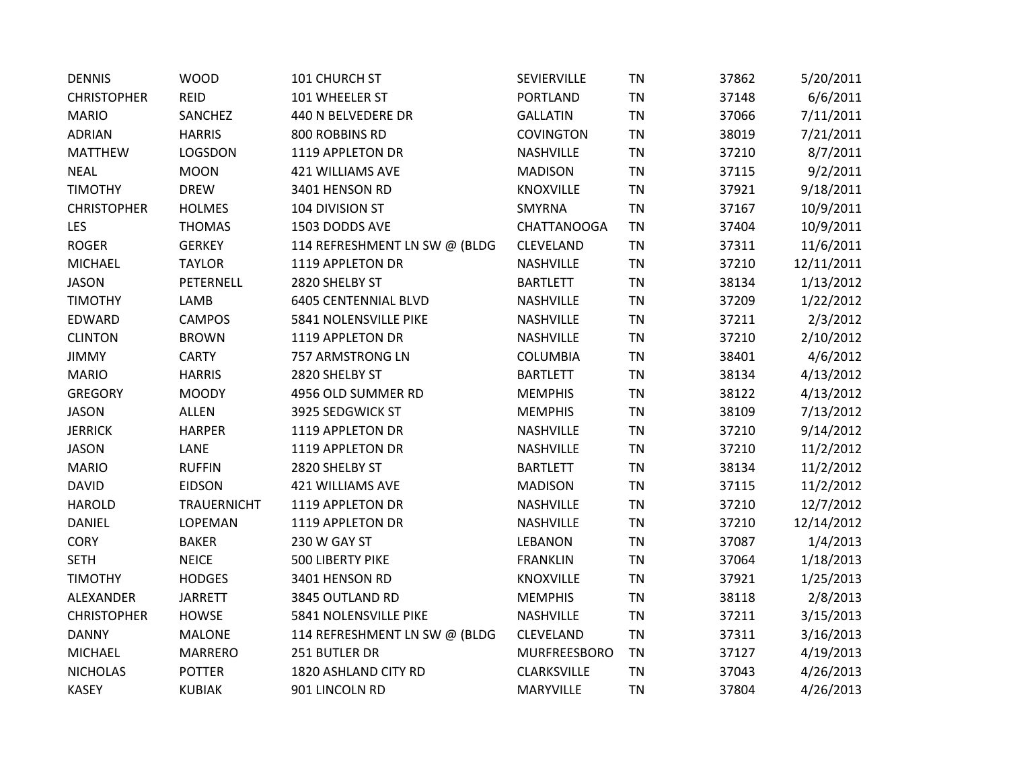| <b>DENNIS</b>      | <b>WOOD</b>        | 101 CHURCH ST                 | SEVIERVILLE        | <b>TN</b> | 37862 | 5/20/2011  |
|--------------------|--------------------|-------------------------------|--------------------|-----------|-------|------------|
| <b>CHRISTOPHER</b> | <b>REID</b>        | 101 WHEELER ST                | PORTLAND           | <b>TN</b> | 37148 | 6/6/2011   |
| <b>MARIO</b>       | <b>SANCHEZ</b>     | 440 N BELVEDERE DR            | <b>GALLATIN</b>    | <b>TN</b> | 37066 | 7/11/2011  |
| <b>ADRIAN</b>      | <b>HARRIS</b>      | 800 ROBBINS RD                | <b>COVINGTON</b>   | <b>TN</b> | 38019 | 7/21/2011  |
| <b>MATTHEW</b>     | LOGSDON            | 1119 APPLETON DR              | <b>NASHVILLE</b>   | <b>TN</b> | 37210 | 8/7/2011   |
| <b>NEAL</b>        | <b>MOON</b>        | 421 WILLIAMS AVE              | <b>MADISON</b>     | <b>TN</b> | 37115 | 9/2/2011   |
| <b>TIMOTHY</b>     | <b>DREW</b>        | 3401 HENSON RD                | <b>KNOXVILLE</b>   | <b>TN</b> | 37921 | 9/18/2011  |
| <b>CHRISTOPHER</b> | <b>HOLMES</b>      | 104 DIVISION ST               | SMYRNA             | <b>TN</b> | 37167 | 10/9/2011  |
| <b>LES</b>         | <b>THOMAS</b>      | 1503 DODDS AVE                | <b>CHATTANOOGA</b> | <b>TN</b> | 37404 | 10/9/2011  |
| <b>ROGER</b>       | <b>GERKEY</b>      | 114 REFRESHMENT LN SW @ (BLDG | CLEVELAND          | <b>TN</b> | 37311 | 11/6/2011  |
| <b>MICHAEL</b>     | <b>TAYLOR</b>      | 1119 APPLETON DR              | NASHVILLE          | <b>TN</b> | 37210 | 12/11/2011 |
| <b>JASON</b>       | PETERNELL          | 2820 SHELBY ST                | <b>BARTLETT</b>    | <b>TN</b> | 38134 | 1/13/2012  |
| <b>TIMOTHY</b>     | LAMB               | <b>6405 CENTENNIAL BLVD</b>   | NASHVILLE          | <b>TN</b> | 37209 | 1/22/2012  |
| EDWARD             | <b>CAMPOS</b>      | 5841 NOLENSVILLE PIKE         | NASHVILLE          | <b>TN</b> | 37211 | 2/3/2012   |
| <b>CLINTON</b>     | <b>BROWN</b>       | 1119 APPLETON DR              | <b>NASHVILLE</b>   | <b>TN</b> | 37210 | 2/10/2012  |
| <b>JIMMY</b>       | <b>CARTY</b>       | 757 ARMSTRONG LN              | COLUMBIA           | <b>TN</b> | 38401 | 4/6/2012   |
| <b>MARIO</b>       | <b>HARRIS</b>      | 2820 SHELBY ST                | <b>BARTLETT</b>    | <b>TN</b> | 38134 | 4/13/2012  |
| <b>GREGORY</b>     | <b>MOODY</b>       | 4956 OLD SUMMER RD            | <b>MEMPHIS</b>     | <b>TN</b> | 38122 | 4/13/2012  |
| <b>JASON</b>       | <b>ALLEN</b>       | 3925 SEDGWICK ST              | <b>MEMPHIS</b>     | <b>TN</b> | 38109 | 7/13/2012  |
| <b>JERRICK</b>     | <b>HARPER</b>      | 1119 APPLETON DR              | NASHVILLE          | <b>TN</b> | 37210 | 9/14/2012  |
| <b>JASON</b>       | LANE               | 1119 APPLETON DR              | NASHVILLE          | <b>TN</b> | 37210 | 11/2/2012  |
| <b>MARIO</b>       | <b>RUFFIN</b>      | 2820 SHELBY ST                | <b>BARTLETT</b>    | <b>TN</b> | 38134 | 11/2/2012  |
| <b>DAVID</b>       | <b>EIDSON</b>      | <b>421 WILLIAMS AVE</b>       | <b>MADISON</b>     | <b>TN</b> | 37115 | 11/2/2012  |
| <b>HAROLD</b>      | <b>TRAUERNICHT</b> | 1119 APPLETON DR              | <b>NASHVILLE</b>   | <b>TN</b> | 37210 | 12/7/2012  |
| DANIEL             | LOPEMAN            | 1119 APPLETON DR              | NASHVILLE          | <b>TN</b> | 37210 | 12/14/2012 |
| <b>CORY</b>        | <b>BAKER</b>       | 230 W GAY ST                  | <b>LEBANON</b>     | <b>TN</b> | 37087 | 1/4/2013   |
| <b>SETH</b>        | <b>NEICE</b>       | 500 LIBERTY PIKE              | <b>FRANKLIN</b>    | <b>TN</b> | 37064 | 1/18/2013  |
| <b>TIMOTHY</b>     | <b>HODGES</b>      | 3401 HENSON RD                | KNOXVILLE          | <b>TN</b> | 37921 | 1/25/2013  |
| ALEXANDER          | <b>JARRETT</b>     | 3845 OUTLAND RD               | <b>MEMPHIS</b>     | <b>TN</b> | 38118 | 2/8/2013   |
| <b>CHRISTOPHER</b> | <b>HOWSE</b>       | 5841 NOLENSVILLE PIKE         | <b>NASHVILLE</b>   | <b>TN</b> | 37211 | 3/15/2013  |
| <b>DANNY</b>       | <b>MALONE</b>      | 114 REFRESHMENT LN SW @ (BLDG | CLEVELAND          | <b>TN</b> | 37311 | 3/16/2013  |
| <b>MICHAEL</b>     | <b>MARRERO</b>     | 251 BUTLER DR                 | MURFREESBORO       | <b>TN</b> | 37127 | 4/19/2013  |
| <b>NICHOLAS</b>    | <b>POTTER</b>      | 1820 ASHLAND CITY RD          | CLARKSVILLE        | <b>TN</b> | 37043 | 4/26/2013  |
| <b>KASEY</b>       | <b>KUBIAK</b>      | 901 LINCOLN RD                | <b>MARYVILLE</b>   | <b>TN</b> | 37804 | 4/26/2013  |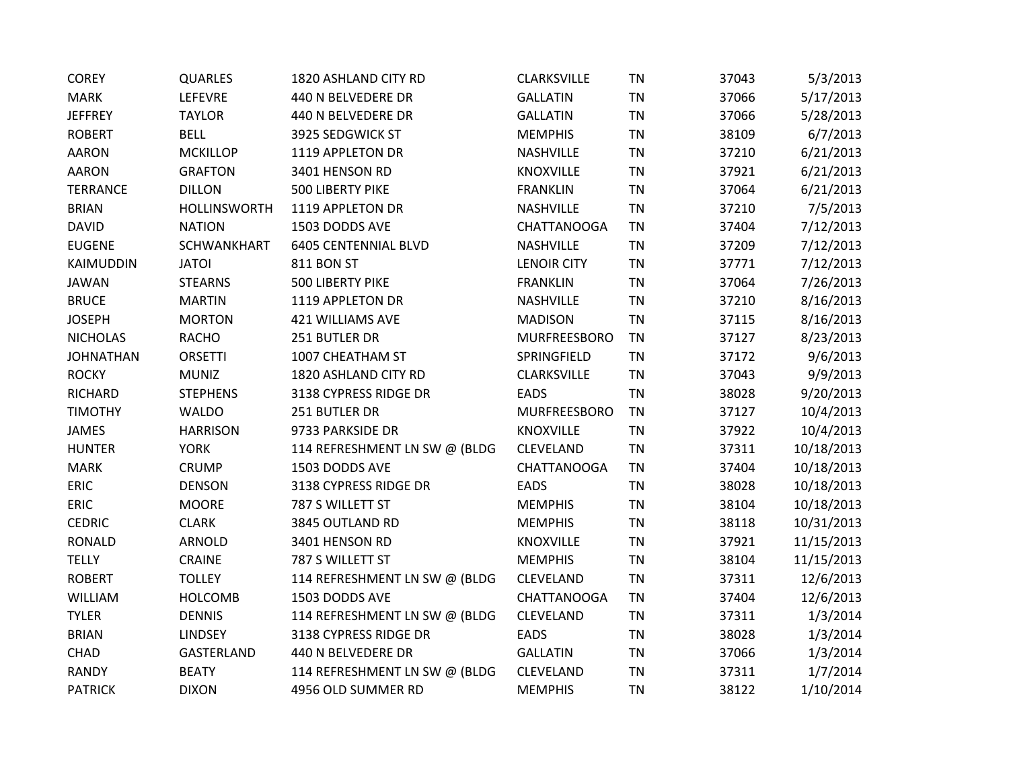| <b>COREY</b>     | <b>QUARLES</b>      | 1820 ASHLAND CITY RD          | <b>CLARKSVILLE</b> | <b>TN</b> | 37043 | 5/3/2013   |
|------------------|---------------------|-------------------------------|--------------------|-----------|-------|------------|
| <b>MARK</b>      | LEFEVRE             | 440 N BELVEDERE DR            | <b>GALLATIN</b>    | <b>TN</b> | 37066 | 5/17/2013  |
| <b>JEFFREY</b>   | <b>TAYLOR</b>       | 440 N BELVEDERE DR            | <b>GALLATIN</b>    | <b>TN</b> | 37066 | 5/28/2013  |
| <b>ROBERT</b>    | <b>BELL</b>         | 3925 SEDGWICK ST              | <b>MEMPHIS</b>     | <b>TN</b> | 38109 | 6/7/2013   |
| <b>AARON</b>     | <b>MCKILLOP</b>     | 1119 APPLETON DR              | NASHVILLE          | <b>TN</b> | 37210 | 6/21/2013  |
| <b>AARON</b>     | <b>GRAFTON</b>      | 3401 HENSON RD                | <b>KNOXVILLE</b>   | <b>TN</b> | 37921 | 6/21/2013  |
| <b>TERRANCE</b>  | <b>DILLON</b>       | 500 LIBERTY PIKE              | <b>FRANKLIN</b>    | <b>TN</b> | 37064 | 6/21/2013  |
| <b>BRIAN</b>     | <b>HOLLINSWORTH</b> | 1119 APPLETON DR              | NASHVILLE          | <b>TN</b> | 37210 | 7/5/2013   |
| <b>DAVID</b>     | <b>NATION</b>       | 1503 DODDS AVE                | <b>CHATTANOOGA</b> | <b>TN</b> | 37404 | 7/12/2013  |
| <b>EUGENE</b>    | <b>SCHWANKHART</b>  | <b>6405 CENTENNIAL BLVD</b>   | NASHVILLE          | <b>TN</b> | 37209 | 7/12/2013  |
| KAIMUDDIN        | <b>JATOI</b>        | <b>811 BON ST</b>             | <b>LENOIR CITY</b> | <b>TN</b> | 37771 | 7/12/2013  |
| <b>JAWAN</b>     | <b>STEARNS</b>      | 500 LIBERTY PIKE              | <b>FRANKLIN</b>    | <b>TN</b> | 37064 | 7/26/2013  |
| <b>BRUCE</b>     | <b>MARTIN</b>       | 1119 APPLETON DR              | NASHVILLE          | <b>TN</b> | 37210 | 8/16/2013  |
| <b>JOSEPH</b>    | <b>MORTON</b>       | 421 WILLIAMS AVE              | <b>MADISON</b>     | <b>TN</b> | 37115 | 8/16/2013  |
| <b>NICHOLAS</b>  | <b>RACHO</b>        | 251 BUTLER DR                 | MURFREESBORO       | <b>TN</b> | 37127 | 8/23/2013  |
| <b>JOHNATHAN</b> | <b>ORSETTI</b>      | 1007 CHEATHAM ST              | SPRINGFIELD        | <b>TN</b> | 37172 | 9/6/2013   |
| <b>ROCKY</b>     | <b>MUNIZ</b>        | 1820 ASHLAND CITY RD          | <b>CLARKSVILLE</b> | <b>TN</b> | 37043 | 9/9/2013   |
| <b>RICHARD</b>   | <b>STEPHENS</b>     | 3138 CYPRESS RIDGE DR         | <b>EADS</b>        | <b>TN</b> | 38028 | 9/20/2013  |
| <b>TIMOTHY</b>   | <b>WALDO</b>        | 251 BUTLER DR                 | MURFREESBORO       | <b>TN</b> | 37127 | 10/4/2013  |
| JAMES            | <b>HARRISON</b>     | 9733 PARKSIDE DR              | <b>KNOXVILLE</b>   | <b>TN</b> | 37922 | 10/4/2013  |
| <b>HUNTER</b>    | <b>YORK</b>         | 114 REFRESHMENT LN SW @ (BLDG | CLEVELAND          | <b>TN</b> | 37311 | 10/18/2013 |
| <b>MARK</b>      | <b>CRUMP</b>        | 1503 DODDS AVE                | <b>CHATTANOOGA</b> | <b>TN</b> | 37404 | 10/18/2013 |
| ERIC             | <b>DENSON</b>       | 3138 CYPRESS RIDGE DR         | <b>EADS</b>        | <b>TN</b> | 38028 | 10/18/2013 |
| ERIC             | <b>MOORE</b>        | 787 S WILLETT ST              | <b>MEMPHIS</b>     | <b>TN</b> | 38104 | 10/18/2013 |
| <b>CEDRIC</b>    | <b>CLARK</b>        | 3845 OUTLAND RD               | <b>MEMPHIS</b>     | <b>TN</b> | 38118 | 10/31/2013 |
| <b>RONALD</b>    | <b>ARNOLD</b>       | 3401 HENSON RD                | KNOXVILLE          | <b>TN</b> | 37921 | 11/15/2013 |
| <b>TELLY</b>     | CRAINE              | 787 S WILLETT ST              | <b>MEMPHIS</b>     | <b>TN</b> | 38104 | 11/15/2013 |
| <b>ROBERT</b>    | <b>TOLLEY</b>       | 114 REFRESHMENT LN SW @ (BLDG | CLEVELAND          | <b>TN</b> | 37311 | 12/6/2013  |
| WILLIAM          | <b>HOLCOMB</b>      | 1503 DODDS AVE                | <b>CHATTANOOGA</b> | <b>TN</b> | 37404 | 12/6/2013  |
| <b>TYLER</b>     | <b>DENNIS</b>       | 114 REFRESHMENT LN SW @ (BLDG | CLEVELAND          | <b>TN</b> | 37311 | 1/3/2014   |
| <b>BRIAN</b>     | <b>LINDSEY</b>      | 3138 CYPRESS RIDGE DR         | <b>EADS</b>        | <b>TN</b> | 38028 | 1/3/2014   |
| CHAD             | GASTERLAND          | 440 N BELVEDERE DR            | <b>GALLATIN</b>    | <b>TN</b> | 37066 | 1/3/2014   |
| <b>RANDY</b>     | <b>BEATY</b>        | 114 REFRESHMENT LN SW @ (BLDG | CLEVELAND          | <b>TN</b> | 37311 | 1/7/2014   |
| <b>PATRICK</b>   | <b>DIXON</b>        | 4956 OLD SUMMER RD            | <b>MEMPHIS</b>     | <b>TN</b> | 38122 | 1/10/2014  |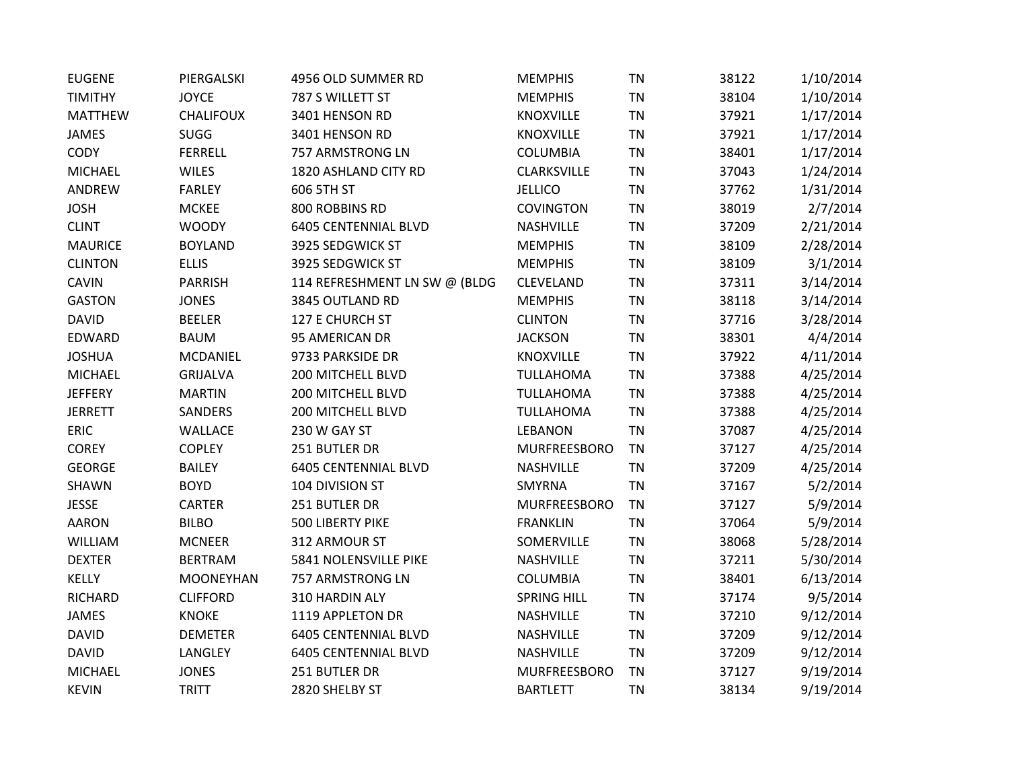| <b>EUGENE</b>  | PIERGALSKI       | 4956 OLD SUMMER RD            | <b>MEMPHIS</b>      | TN        | 38122 | 1/10/2014 |
|----------------|------------------|-------------------------------|---------------------|-----------|-------|-----------|
| <b>TIMITHY</b> | <b>JOYCE</b>     | 787 S WILLETT ST              | <b>MEMPHIS</b>      | <b>TN</b> | 38104 | 1/10/2014 |
| <b>MATTHEW</b> | <b>CHALIFOUX</b> | 3401 HENSON RD                | <b>KNOXVILLE</b>    | TN        | 37921 | 1/17/2014 |
| <b>JAMES</b>   | <b>SUGG</b>      | 3401 HENSON RD                | KNOXVILLE           | <b>TN</b> | 37921 | 1/17/2014 |
| CODY           | <b>FERRELL</b>   | 757 ARMSTRONG LN              | <b>COLUMBIA</b>     | <b>TN</b> | 38401 | 1/17/2014 |
| <b>MICHAEL</b> | <b>WILES</b>     | 1820 ASHLAND CITY RD          | CLARKSVILLE         | <b>TN</b> | 37043 | 1/24/2014 |
| ANDREW         | <b>FARLEY</b>    | 606 5TH ST                    | <b>JELLICO</b>      | <b>TN</b> | 37762 | 1/31/2014 |
| <b>JOSH</b>    | <b>MCKEE</b>     | 800 ROBBINS RD                | <b>COVINGTON</b>    | <b>TN</b> | 38019 | 2/7/2014  |
| <b>CLINT</b>   | <b>WOODY</b>     | <b>6405 CENTENNIAL BLVD</b>   | NASHVILLE           | <b>TN</b> | 37209 | 2/21/2014 |
| <b>MAURICE</b> | <b>BOYLAND</b>   | 3925 SEDGWICK ST              | <b>MEMPHIS</b>      | TN        | 38109 | 2/28/2014 |
| <b>CLINTON</b> | <b>ELLIS</b>     | 3925 SEDGWICK ST              | <b>MEMPHIS</b>      | <b>TN</b> | 38109 | 3/1/2014  |
| <b>CAVIN</b>   | <b>PARRISH</b>   | 114 REFRESHMENT LN SW @ (BLDG | CLEVELAND           | <b>TN</b> | 37311 | 3/14/2014 |
| <b>GASTON</b>  | <b>JONES</b>     | 3845 OUTLAND RD               | <b>MEMPHIS</b>      | <b>TN</b> | 38118 | 3/14/2014 |
| <b>DAVID</b>   | <b>BEELER</b>    | 127 E CHURCH ST               | <b>CLINTON</b>      | <b>TN</b> | 37716 | 3/28/2014 |
| EDWARD         | <b>BAUM</b>      | 95 AMERICAN DR                | <b>JACKSON</b>      | <b>TN</b> | 38301 | 4/4/2014  |
| <b>JOSHUA</b>  | <b>MCDANIEL</b>  | 9733 PARKSIDE DR              | KNOXVILLE           | <b>TN</b> | 37922 | 4/11/2014 |
| <b>MICHAEL</b> | <b>GRIJALVA</b>  | 200 MITCHELL BLVD             | <b>TULLAHOMA</b>    | TN        | 37388 | 4/25/2014 |
| <b>JEFFERY</b> | <b>MARTIN</b>    | 200 MITCHELL BLVD             | <b>TULLAHOMA</b>    | <b>TN</b> | 37388 | 4/25/2014 |
| <b>JERRETT</b> | <b>SANDERS</b>   | 200 MITCHELL BLVD             | <b>TULLAHOMA</b>    | <b>TN</b> | 37388 | 4/25/2014 |
| <b>ERIC</b>    | WALLACE          | 230 W GAY ST                  | <b>LEBANON</b>      | <b>TN</b> | 37087 | 4/25/2014 |
| <b>COREY</b>   | <b>COPLEY</b>    | 251 BUTLER DR                 | <b>MURFREESBORO</b> | <b>TN</b> | 37127 | 4/25/2014 |
| <b>GEORGE</b>  | <b>BAILEY</b>    | <b>6405 CENTENNIAL BLVD</b>   | NASHVILLE           | <b>TN</b> | 37209 | 4/25/2014 |
| SHAWN          | <b>BOYD</b>      | 104 DIVISION ST               | SMYRNA              | <b>TN</b> | 37167 | 5/2/2014  |
| <b>JESSE</b>   | <b>CARTER</b>    | 251 BUTLER DR                 | <b>MURFREESBORO</b> | <b>TN</b> | 37127 | 5/9/2014  |
| <b>AARON</b>   | <b>BILBO</b>     | 500 LIBERTY PIKE              | <b>FRANKLIN</b>     | <b>TN</b> | 37064 | 5/9/2014  |
| WILLIAM        | <b>MCNEER</b>    | 312 ARMOUR ST                 | SOMERVILLE          | TN        | 38068 | 5/28/2014 |
| <b>DEXTER</b>  | <b>BERTRAM</b>   | 5841 NOLENSVILLE PIKE         | NASHVILLE           | <b>TN</b> | 37211 | 5/30/2014 |
| <b>KELLY</b>   | <b>MOONEYHAN</b> | 757 ARMSTRONG LN              | <b>COLUMBIA</b>     | <b>TN</b> | 38401 | 6/13/2014 |
| <b>RICHARD</b> | <b>CLIFFORD</b>  | 310 HARDIN ALY                | <b>SPRING HILL</b>  | <b>TN</b> | 37174 | 9/5/2014  |
| JAMES          | <b>KNOKE</b>     | 1119 APPLETON DR              | NASHVILLE           | <b>TN</b> | 37210 | 9/12/2014 |
| <b>DAVID</b>   | <b>DEMETER</b>   | <b>6405 CENTENNIAL BLVD</b>   | NASHVILLE           | <b>TN</b> | 37209 | 9/12/2014 |
| <b>DAVID</b>   | <b>LANGLEY</b>   | <b>6405 CENTENNIAL BLVD</b>   | NASHVILLE           | <b>TN</b> | 37209 | 9/12/2014 |
| <b>MICHAEL</b> | <b>JONES</b>     | 251 BUTLER DR                 | <b>MURFREESBORO</b> | <b>TN</b> | 37127 | 9/19/2014 |
| <b>KEVIN</b>   | <b>TRITT</b>     | 2820 SHELBY ST                | <b>BARTLETT</b>     | <b>TN</b> | 38134 | 9/19/2014 |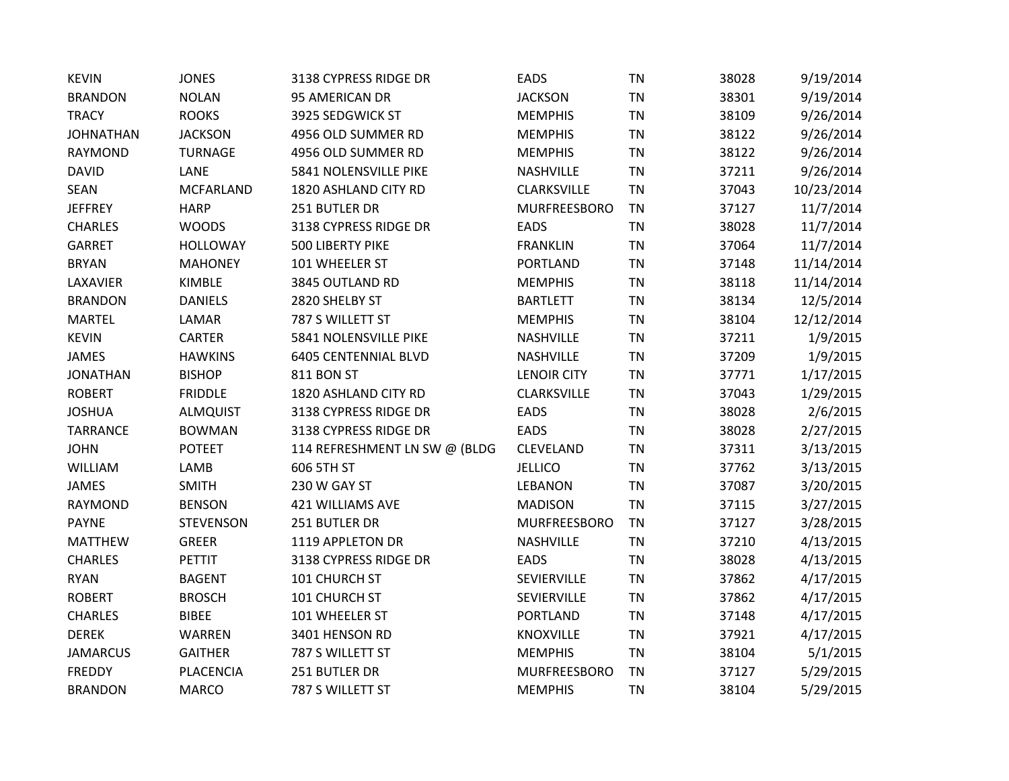| 95 AMERICAN DR<br><b>TN</b><br>38301<br><b>BRANDON</b><br><b>NOLAN</b><br><b>JACKSON</b><br><b>TRACY</b><br><b>ROOKS</b><br>3925 SEDGWICK ST<br><b>TN</b><br>38109<br><b>MEMPHIS</b><br><b>JACKSON</b><br>4956 OLD SUMMER RD<br><b>TN</b><br>38122<br><b>JOHNATHAN</b><br><b>MEMPHIS</b><br>4956 OLD SUMMER RD<br><b>TN</b><br><b>RAYMOND</b><br><b>TURNAGE</b><br><b>MEMPHIS</b><br>38122<br><b>DAVID</b><br>LANE<br>5841 NOLENSVILLE PIKE<br><b>TN</b><br>NASHVILLE<br>37211<br><b>SEAN</b><br><b>MCFARLAND</b><br>1820 ASHLAND CITY RD<br>CLARKSVILLE<br><b>TN</b><br>37043<br>251 BUTLER DR<br><b>MURFREESBORO</b><br>37127<br><b>JEFFREY</b><br><b>HARP</b><br>TN<br><b>CHARLES</b><br><b>WOODS</b><br>3138 CYPRESS RIDGE DR<br><b>EADS</b><br><b>TN</b><br>38028<br><b>TN</b><br><b>GARRET</b><br><b>HOLLOWAY</b><br>500 LIBERTY PIKE<br><b>FRANKLIN</b><br>37064<br>101 WHEELER ST<br><b>TN</b><br><b>BRYAN</b><br><b>MAHONEY</b><br><b>PORTLAND</b><br>37148<br><b>KIMBLE</b><br>3845 OUTLAND RD<br><b>TN</b><br>LAXAVIER<br><b>MEMPHIS</b><br>38118<br><b>DANIELS</b><br>2820 SHELBY ST<br>TN<br>38134<br><b>BRANDON</b><br><b>BARTLETT</b><br>787 S WILLETT ST<br><b>TN</b><br><b>MARTEL</b><br>LAMAR<br><b>MEMPHIS</b><br>38104<br><b>KEVIN</b><br>5841 NOLENSVILLE PIKE<br><b>TN</b><br>CARTER<br>NASHVILLE<br>37211<br><b>6405 CENTENNIAL BLVD</b><br>NASHVILLE<br><b>TN</b><br>37209<br><b>JAMES</b><br><b>HAWKINS</b><br><b>JONATHAN</b><br><b>BISHOP</b><br>811 BON ST<br><b>LENOIR CITY</b><br><b>TN</b><br>37771<br><b>ROBERT</b><br><b>FRIDDLE</b><br>1820 ASHLAND CITY RD<br>CLARKSVILLE<br><b>TN</b><br>37043<br><b>JOSHUA</b><br>3138 CYPRESS RIDGE DR<br><b>EADS</b><br><b>TN</b><br>38028<br><b>ALMQUIST</b><br><b>TARRANCE</b><br>3138 CYPRESS RIDGE DR<br><b>EADS</b><br>TN<br>38028<br><b>BOWMAN</b><br><b>JOHN</b><br><b>POTEET</b><br>114 REFRESHMENT LN SW @ (BLDG<br>CLEVELAND<br>TN<br>37311<br>WILLIAM<br>LAMB<br>606 5TH ST<br><b>JELLICO</b><br><b>TN</b><br>37762<br><b>JAMES</b><br><b>SMITH</b><br>230 W GAY ST<br><b>LEBANON</b><br><b>TN</b><br>37087<br><b>TN</b><br><b>RAYMOND</b><br><b>BENSON</b><br>421 WILLIAMS AVE<br><b>MADISON</b><br>37115<br><b>PAYNE</b><br>251 BUTLER DR<br><b>TN</b><br><b>STEVENSON</b><br><b>MURFREESBORO</b><br>37127<br><b>MATTHEW</b><br><b>GREER</b><br>1119 APPLETON DR<br>NASHVILLE<br><b>TN</b><br>37210<br><b>CHARLES</b><br><b>PETTIT</b><br>3138 CYPRESS RIDGE DR<br><b>EADS</b><br><b>TN</b><br>38028<br>101 CHURCH ST<br>SEVIERVILLE<br><b>TN</b><br><b>RYAN</b><br><b>BAGENT</b><br>37862<br><b>ROBERT</b><br>101 CHURCH ST<br><b>TN</b><br>37862<br><b>BROSCH</b><br>SEVIERVILLE<br><b>CHARLES</b><br><b>BIBEE</b><br>101 WHEELER ST<br><b>PORTLAND</b><br>TN<br>37148<br><b>WARREN</b><br><b>DEREK</b><br>3401 HENSON RD<br><b>KNOXVILLE</b><br><b>TN</b><br>37921<br><b>JAMARCUS</b><br><b>GAITHER</b><br>787 S WILLETT ST<br><b>MEMPHIS</b><br><b>TN</b><br>38104<br>251 BUTLER DR<br><b>FREDDY</b><br>PLACENCIA<br><b>MURFREESBORO</b><br><b>TN</b><br>37127 | <b>KEVIN</b>   | <b>JONES</b> | 3138 CYPRESS RIDGE DR | <b>EADS</b>    | <b>TN</b> | 38028 | 9/19/2014  |
|--------------------------------------------------------------------------------------------------------------------------------------------------------------------------------------------------------------------------------------------------------------------------------------------------------------------------------------------------------------------------------------------------------------------------------------------------------------------------------------------------------------------------------------------------------------------------------------------------------------------------------------------------------------------------------------------------------------------------------------------------------------------------------------------------------------------------------------------------------------------------------------------------------------------------------------------------------------------------------------------------------------------------------------------------------------------------------------------------------------------------------------------------------------------------------------------------------------------------------------------------------------------------------------------------------------------------------------------------------------------------------------------------------------------------------------------------------------------------------------------------------------------------------------------------------------------------------------------------------------------------------------------------------------------------------------------------------------------------------------------------------------------------------------------------------------------------------------------------------------------------------------------------------------------------------------------------------------------------------------------------------------------------------------------------------------------------------------------------------------------------------------------------------------------------------------------------------------------------------------------------------------------------------------------------------------------------------------------------------------------------------------------------------------------------------------------------------------------------------------------------------------------------------------------------------------------------------------------------------------------------------------------------------------------------------------------------------------------------------------------------------------------------------------------------------------------------------------------------------------------------------------------------------------------------------------------------------------------------------------------------------------------------------------------------------|----------------|--------------|-----------------------|----------------|-----------|-------|------------|
|                                                                                                                                                                                                                                                                                                                                                                                                                                                                                                                                                                                                                                                                                                                                                                                                                                                                                                                                                                                                                                                                                                                                                                                                                                                                                                                                                                                                                                                                                                                                                                                                                                                                                                                                                                                                                                                                                                                                                                                                                                                                                                                                                                                                                                                                                                                                                                                                                                                                                                                                                                                                                                                                                                                                                                                                                                                                                                                                                                                                                                                        |                |              |                       |                |           |       | 9/19/2014  |
|                                                                                                                                                                                                                                                                                                                                                                                                                                                                                                                                                                                                                                                                                                                                                                                                                                                                                                                                                                                                                                                                                                                                                                                                                                                                                                                                                                                                                                                                                                                                                                                                                                                                                                                                                                                                                                                                                                                                                                                                                                                                                                                                                                                                                                                                                                                                                                                                                                                                                                                                                                                                                                                                                                                                                                                                                                                                                                                                                                                                                                                        |                |              |                       |                |           |       | 9/26/2014  |
|                                                                                                                                                                                                                                                                                                                                                                                                                                                                                                                                                                                                                                                                                                                                                                                                                                                                                                                                                                                                                                                                                                                                                                                                                                                                                                                                                                                                                                                                                                                                                                                                                                                                                                                                                                                                                                                                                                                                                                                                                                                                                                                                                                                                                                                                                                                                                                                                                                                                                                                                                                                                                                                                                                                                                                                                                                                                                                                                                                                                                                                        |                |              |                       |                |           |       | 9/26/2014  |
|                                                                                                                                                                                                                                                                                                                                                                                                                                                                                                                                                                                                                                                                                                                                                                                                                                                                                                                                                                                                                                                                                                                                                                                                                                                                                                                                                                                                                                                                                                                                                                                                                                                                                                                                                                                                                                                                                                                                                                                                                                                                                                                                                                                                                                                                                                                                                                                                                                                                                                                                                                                                                                                                                                                                                                                                                                                                                                                                                                                                                                                        |                |              |                       |                |           |       | 9/26/2014  |
|                                                                                                                                                                                                                                                                                                                                                                                                                                                                                                                                                                                                                                                                                                                                                                                                                                                                                                                                                                                                                                                                                                                                                                                                                                                                                                                                                                                                                                                                                                                                                                                                                                                                                                                                                                                                                                                                                                                                                                                                                                                                                                                                                                                                                                                                                                                                                                                                                                                                                                                                                                                                                                                                                                                                                                                                                                                                                                                                                                                                                                                        |                |              |                       |                |           |       | 9/26/2014  |
|                                                                                                                                                                                                                                                                                                                                                                                                                                                                                                                                                                                                                                                                                                                                                                                                                                                                                                                                                                                                                                                                                                                                                                                                                                                                                                                                                                                                                                                                                                                                                                                                                                                                                                                                                                                                                                                                                                                                                                                                                                                                                                                                                                                                                                                                                                                                                                                                                                                                                                                                                                                                                                                                                                                                                                                                                                                                                                                                                                                                                                                        |                |              |                       |                |           |       | 10/23/2014 |
|                                                                                                                                                                                                                                                                                                                                                                                                                                                                                                                                                                                                                                                                                                                                                                                                                                                                                                                                                                                                                                                                                                                                                                                                                                                                                                                                                                                                                                                                                                                                                                                                                                                                                                                                                                                                                                                                                                                                                                                                                                                                                                                                                                                                                                                                                                                                                                                                                                                                                                                                                                                                                                                                                                                                                                                                                                                                                                                                                                                                                                                        |                |              |                       |                |           |       | 11/7/2014  |
|                                                                                                                                                                                                                                                                                                                                                                                                                                                                                                                                                                                                                                                                                                                                                                                                                                                                                                                                                                                                                                                                                                                                                                                                                                                                                                                                                                                                                                                                                                                                                                                                                                                                                                                                                                                                                                                                                                                                                                                                                                                                                                                                                                                                                                                                                                                                                                                                                                                                                                                                                                                                                                                                                                                                                                                                                                                                                                                                                                                                                                                        |                |              |                       |                |           |       | 11/7/2014  |
|                                                                                                                                                                                                                                                                                                                                                                                                                                                                                                                                                                                                                                                                                                                                                                                                                                                                                                                                                                                                                                                                                                                                                                                                                                                                                                                                                                                                                                                                                                                                                                                                                                                                                                                                                                                                                                                                                                                                                                                                                                                                                                                                                                                                                                                                                                                                                                                                                                                                                                                                                                                                                                                                                                                                                                                                                                                                                                                                                                                                                                                        |                |              |                       |                |           |       | 11/7/2014  |
|                                                                                                                                                                                                                                                                                                                                                                                                                                                                                                                                                                                                                                                                                                                                                                                                                                                                                                                                                                                                                                                                                                                                                                                                                                                                                                                                                                                                                                                                                                                                                                                                                                                                                                                                                                                                                                                                                                                                                                                                                                                                                                                                                                                                                                                                                                                                                                                                                                                                                                                                                                                                                                                                                                                                                                                                                                                                                                                                                                                                                                                        |                |              |                       |                |           |       | 11/14/2014 |
|                                                                                                                                                                                                                                                                                                                                                                                                                                                                                                                                                                                                                                                                                                                                                                                                                                                                                                                                                                                                                                                                                                                                                                                                                                                                                                                                                                                                                                                                                                                                                                                                                                                                                                                                                                                                                                                                                                                                                                                                                                                                                                                                                                                                                                                                                                                                                                                                                                                                                                                                                                                                                                                                                                                                                                                                                                                                                                                                                                                                                                                        |                |              |                       |                |           |       | 11/14/2014 |
|                                                                                                                                                                                                                                                                                                                                                                                                                                                                                                                                                                                                                                                                                                                                                                                                                                                                                                                                                                                                                                                                                                                                                                                                                                                                                                                                                                                                                                                                                                                                                                                                                                                                                                                                                                                                                                                                                                                                                                                                                                                                                                                                                                                                                                                                                                                                                                                                                                                                                                                                                                                                                                                                                                                                                                                                                                                                                                                                                                                                                                                        |                |              |                       |                |           |       | 12/5/2014  |
|                                                                                                                                                                                                                                                                                                                                                                                                                                                                                                                                                                                                                                                                                                                                                                                                                                                                                                                                                                                                                                                                                                                                                                                                                                                                                                                                                                                                                                                                                                                                                                                                                                                                                                                                                                                                                                                                                                                                                                                                                                                                                                                                                                                                                                                                                                                                                                                                                                                                                                                                                                                                                                                                                                                                                                                                                                                                                                                                                                                                                                                        |                |              |                       |                |           |       | 12/12/2014 |
|                                                                                                                                                                                                                                                                                                                                                                                                                                                                                                                                                                                                                                                                                                                                                                                                                                                                                                                                                                                                                                                                                                                                                                                                                                                                                                                                                                                                                                                                                                                                                                                                                                                                                                                                                                                                                                                                                                                                                                                                                                                                                                                                                                                                                                                                                                                                                                                                                                                                                                                                                                                                                                                                                                                                                                                                                                                                                                                                                                                                                                                        |                |              |                       |                |           |       | 1/9/2015   |
|                                                                                                                                                                                                                                                                                                                                                                                                                                                                                                                                                                                                                                                                                                                                                                                                                                                                                                                                                                                                                                                                                                                                                                                                                                                                                                                                                                                                                                                                                                                                                                                                                                                                                                                                                                                                                                                                                                                                                                                                                                                                                                                                                                                                                                                                                                                                                                                                                                                                                                                                                                                                                                                                                                                                                                                                                                                                                                                                                                                                                                                        |                |              |                       |                |           |       | 1/9/2015   |
|                                                                                                                                                                                                                                                                                                                                                                                                                                                                                                                                                                                                                                                                                                                                                                                                                                                                                                                                                                                                                                                                                                                                                                                                                                                                                                                                                                                                                                                                                                                                                                                                                                                                                                                                                                                                                                                                                                                                                                                                                                                                                                                                                                                                                                                                                                                                                                                                                                                                                                                                                                                                                                                                                                                                                                                                                                                                                                                                                                                                                                                        |                |              |                       |                |           |       | 1/17/2015  |
|                                                                                                                                                                                                                                                                                                                                                                                                                                                                                                                                                                                                                                                                                                                                                                                                                                                                                                                                                                                                                                                                                                                                                                                                                                                                                                                                                                                                                                                                                                                                                                                                                                                                                                                                                                                                                                                                                                                                                                                                                                                                                                                                                                                                                                                                                                                                                                                                                                                                                                                                                                                                                                                                                                                                                                                                                                                                                                                                                                                                                                                        |                |              |                       |                |           |       | 1/29/2015  |
|                                                                                                                                                                                                                                                                                                                                                                                                                                                                                                                                                                                                                                                                                                                                                                                                                                                                                                                                                                                                                                                                                                                                                                                                                                                                                                                                                                                                                                                                                                                                                                                                                                                                                                                                                                                                                                                                                                                                                                                                                                                                                                                                                                                                                                                                                                                                                                                                                                                                                                                                                                                                                                                                                                                                                                                                                                                                                                                                                                                                                                                        |                |              |                       |                |           |       | 2/6/2015   |
|                                                                                                                                                                                                                                                                                                                                                                                                                                                                                                                                                                                                                                                                                                                                                                                                                                                                                                                                                                                                                                                                                                                                                                                                                                                                                                                                                                                                                                                                                                                                                                                                                                                                                                                                                                                                                                                                                                                                                                                                                                                                                                                                                                                                                                                                                                                                                                                                                                                                                                                                                                                                                                                                                                                                                                                                                                                                                                                                                                                                                                                        |                |              |                       |                |           |       | 2/27/2015  |
|                                                                                                                                                                                                                                                                                                                                                                                                                                                                                                                                                                                                                                                                                                                                                                                                                                                                                                                                                                                                                                                                                                                                                                                                                                                                                                                                                                                                                                                                                                                                                                                                                                                                                                                                                                                                                                                                                                                                                                                                                                                                                                                                                                                                                                                                                                                                                                                                                                                                                                                                                                                                                                                                                                                                                                                                                                                                                                                                                                                                                                                        |                |              |                       |                |           |       | 3/13/2015  |
|                                                                                                                                                                                                                                                                                                                                                                                                                                                                                                                                                                                                                                                                                                                                                                                                                                                                                                                                                                                                                                                                                                                                                                                                                                                                                                                                                                                                                                                                                                                                                                                                                                                                                                                                                                                                                                                                                                                                                                                                                                                                                                                                                                                                                                                                                                                                                                                                                                                                                                                                                                                                                                                                                                                                                                                                                                                                                                                                                                                                                                                        |                |              |                       |                |           |       | 3/13/2015  |
|                                                                                                                                                                                                                                                                                                                                                                                                                                                                                                                                                                                                                                                                                                                                                                                                                                                                                                                                                                                                                                                                                                                                                                                                                                                                                                                                                                                                                                                                                                                                                                                                                                                                                                                                                                                                                                                                                                                                                                                                                                                                                                                                                                                                                                                                                                                                                                                                                                                                                                                                                                                                                                                                                                                                                                                                                                                                                                                                                                                                                                                        |                |              |                       |                |           |       | 3/20/2015  |
|                                                                                                                                                                                                                                                                                                                                                                                                                                                                                                                                                                                                                                                                                                                                                                                                                                                                                                                                                                                                                                                                                                                                                                                                                                                                                                                                                                                                                                                                                                                                                                                                                                                                                                                                                                                                                                                                                                                                                                                                                                                                                                                                                                                                                                                                                                                                                                                                                                                                                                                                                                                                                                                                                                                                                                                                                                                                                                                                                                                                                                                        |                |              |                       |                |           |       | 3/27/2015  |
|                                                                                                                                                                                                                                                                                                                                                                                                                                                                                                                                                                                                                                                                                                                                                                                                                                                                                                                                                                                                                                                                                                                                                                                                                                                                                                                                                                                                                                                                                                                                                                                                                                                                                                                                                                                                                                                                                                                                                                                                                                                                                                                                                                                                                                                                                                                                                                                                                                                                                                                                                                                                                                                                                                                                                                                                                                                                                                                                                                                                                                                        |                |              |                       |                |           |       | 3/28/2015  |
|                                                                                                                                                                                                                                                                                                                                                                                                                                                                                                                                                                                                                                                                                                                                                                                                                                                                                                                                                                                                                                                                                                                                                                                                                                                                                                                                                                                                                                                                                                                                                                                                                                                                                                                                                                                                                                                                                                                                                                                                                                                                                                                                                                                                                                                                                                                                                                                                                                                                                                                                                                                                                                                                                                                                                                                                                                                                                                                                                                                                                                                        |                |              |                       |                |           |       | 4/13/2015  |
|                                                                                                                                                                                                                                                                                                                                                                                                                                                                                                                                                                                                                                                                                                                                                                                                                                                                                                                                                                                                                                                                                                                                                                                                                                                                                                                                                                                                                                                                                                                                                                                                                                                                                                                                                                                                                                                                                                                                                                                                                                                                                                                                                                                                                                                                                                                                                                                                                                                                                                                                                                                                                                                                                                                                                                                                                                                                                                                                                                                                                                                        |                |              |                       |                |           |       | 4/13/2015  |
|                                                                                                                                                                                                                                                                                                                                                                                                                                                                                                                                                                                                                                                                                                                                                                                                                                                                                                                                                                                                                                                                                                                                                                                                                                                                                                                                                                                                                                                                                                                                                                                                                                                                                                                                                                                                                                                                                                                                                                                                                                                                                                                                                                                                                                                                                                                                                                                                                                                                                                                                                                                                                                                                                                                                                                                                                                                                                                                                                                                                                                                        |                |              |                       |                |           |       | 4/17/2015  |
|                                                                                                                                                                                                                                                                                                                                                                                                                                                                                                                                                                                                                                                                                                                                                                                                                                                                                                                                                                                                                                                                                                                                                                                                                                                                                                                                                                                                                                                                                                                                                                                                                                                                                                                                                                                                                                                                                                                                                                                                                                                                                                                                                                                                                                                                                                                                                                                                                                                                                                                                                                                                                                                                                                                                                                                                                                                                                                                                                                                                                                                        |                |              |                       |                |           |       | 4/17/2015  |
|                                                                                                                                                                                                                                                                                                                                                                                                                                                                                                                                                                                                                                                                                                                                                                                                                                                                                                                                                                                                                                                                                                                                                                                                                                                                                                                                                                                                                                                                                                                                                                                                                                                                                                                                                                                                                                                                                                                                                                                                                                                                                                                                                                                                                                                                                                                                                                                                                                                                                                                                                                                                                                                                                                                                                                                                                                                                                                                                                                                                                                                        |                |              |                       |                |           |       | 4/17/2015  |
|                                                                                                                                                                                                                                                                                                                                                                                                                                                                                                                                                                                                                                                                                                                                                                                                                                                                                                                                                                                                                                                                                                                                                                                                                                                                                                                                                                                                                                                                                                                                                                                                                                                                                                                                                                                                                                                                                                                                                                                                                                                                                                                                                                                                                                                                                                                                                                                                                                                                                                                                                                                                                                                                                                                                                                                                                                                                                                                                                                                                                                                        |                |              |                       |                |           |       | 4/17/2015  |
|                                                                                                                                                                                                                                                                                                                                                                                                                                                                                                                                                                                                                                                                                                                                                                                                                                                                                                                                                                                                                                                                                                                                                                                                                                                                                                                                                                                                                                                                                                                                                                                                                                                                                                                                                                                                                                                                                                                                                                                                                                                                                                                                                                                                                                                                                                                                                                                                                                                                                                                                                                                                                                                                                                                                                                                                                                                                                                                                                                                                                                                        |                |              |                       |                |           |       | 5/1/2015   |
|                                                                                                                                                                                                                                                                                                                                                                                                                                                                                                                                                                                                                                                                                                                                                                                                                                                                                                                                                                                                                                                                                                                                                                                                                                                                                                                                                                                                                                                                                                                                                                                                                                                                                                                                                                                                                                                                                                                                                                                                                                                                                                                                                                                                                                                                                                                                                                                                                                                                                                                                                                                                                                                                                                                                                                                                                                                                                                                                                                                                                                                        |                |              |                       |                |           |       | 5/29/2015  |
|                                                                                                                                                                                                                                                                                                                                                                                                                                                                                                                                                                                                                                                                                                                                                                                                                                                                                                                                                                                                                                                                                                                                                                                                                                                                                                                                                                                                                                                                                                                                                                                                                                                                                                                                                                                                                                                                                                                                                                                                                                                                                                                                                                                                                                                                                                                                                                                                                                                                                                                                                                                                                                                                                                                                                                                                                                                                                                                                                                                                                                                        | <b>BRANDON</b> | <b>MARCO</b> | 787 S WILLETT ST      | <b>MEMPHIS</b> | <b>TN</b> | 38104 | 5/29/2015  |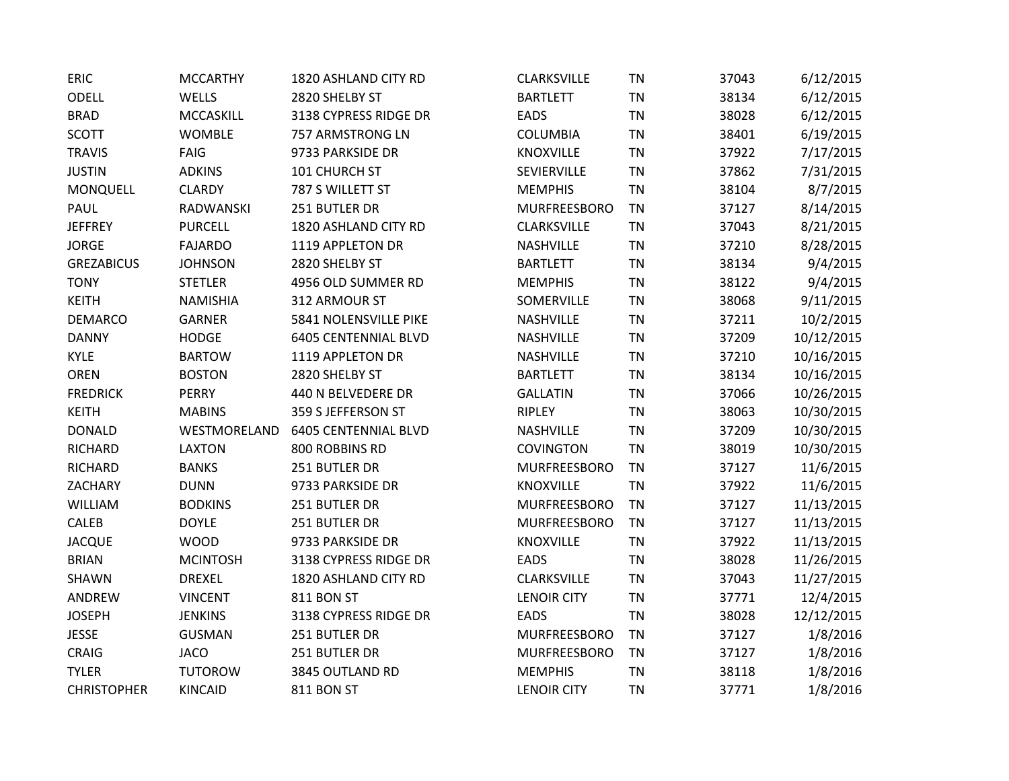| <b>ERIC</b>        | <b>MCCARTHY</b> | 1820 ASHLAND CITY RD        | <b>CLARKSVILLE</b> | <b>TN</b> | 37043 | 6/12/2015  |
|--------------------|-----------------|-----------------------------|--------------------|-----------|-------|------------|
| ODELL              | <b>WELLS</b>    | 2820 SHELBY ST              | <b>BARTLETT</b>    | <b>TN</b> | 38134 | 6/12/2015  |
| <b>BRAD</b>        | MCCASKILL       | 3138 CYPRESS RIDGE DR       | EADS               | <b>TN</b> | 38028 | 6/12/2015  |
| <b>SCOTT</b>       | <b>WOMBLE</b>   | 757 ARMSTRONG LN            | <b>COLUMBIA</b>    | <b>TN</b> | 38401 | 6/19/2015  |
| <b>TRAVIS</b>      | FAIG            | 9733 PARKSIDE DR            | KNOXVILLE          | <b>TN</b> | 37922 | 7/17/2015  |
| <b>JUSTIN</b>      | <b>ADKINS</b>   | 101 CHURCH ST               | SEVIERVILLE        | <b>TN</b> | 37862 | 7/31/2015  |
| MONQUELL           | <b>CLARDY</b>   | 787 S WILLETT ST            | <b>MEMPHIS</b>     | <b>TN</b> | 38104 | 8/7/2015   |
| PAUL               | RADWANSKI       | 251 BUTLER DR               | MURFREESBORO       | <b>TN</b> | 37127 | 8/14/2015  |
| <b>JEFFREY</b>     | <b>PURCELL</b>  | 1820 ASHLAND CITY RD        | <b>CLARKSVILLE</b> | <b>TN</b> | 37043 | 8/21/2015  |
| <b>JORGE</b>       | <b>FAJARDO</b>  | 1119 APPLETON DR            | <b>NASHVILLE</b>   | <b>TN</b> | 37210 | 8/28/2015  |
| <b>GREZABICUS</b>  | <b>JOHNSON</b>  | 2820 SHELBY ST              | <b>BARTLETT</b>    | <b>TN</b> | 38134 | 9/4/2015   |
| <b>TONY</b>        | <b>STETLER</b>  | 4956 OLD SUMMER RD          | <b>MEMPHIS</b>     | <b>TN</b> | 38122 | 9/4/2015   |
| <b>KEITH</b>       | <b>NAMISHIA</b> | 312 ARMOUR ST               | SOMERVILLE         | <b>TN</b> | 38068 | 9/11/2015  |
| <b>DEMARCO</b>     | <b>GARNER</b>   | 5841 NOLENSVILLE PIKE       | NASHVILLE          | <b>TN</b> | 37211 | 10/2/2015  |
| <b>DANNY</b>       | <b>HODGE</b>    | <b>6405 CENTENNIAL BLVD</b> | NASHVILLE          | TN        | 37209 | 10/12/2015 |
| KYLE               | <b>BARTOW</b>   | 1119 APPLETON DR            | NASHVILLE          | <b>TN</b> | 37210 | 10/16/2015 |
| <b>OREN</b>        | <b>BOSTON</b>   | 2820 SHELBY ST              | <b>BARTLETT</b>    | <b>TN</b> | 38134 | 10/16/2015 |
| <b>FREDRICK</b>    | <b>PERRY</b>    | 440 N BELVEDERE DR          | <b>GALLATIN</b>    | <b>TN</b> | 37066 | 10/26/2015 |
| <b>KEITH</b>       | <b>MABINS</b>   | 359 S JEFFERSON ST          | <b>RIPLEY</b>      | <b>TN</b> | 38063 | 10/30/2015 |
| <b>DONALD</b>      | WESTMORELAND    | <b>6405 CENTENNIAL BLVD</b> | NASHVILLE          | <b>TN</b> | 37209 | 10/30/2015 |
| <b>RICHARD</b>     | <b>LAXTON</b>   | 800 ROBBINS RD              | COVINGTON          | TN        | 38019 | 10/30/2015 |
| <b>RICHARD</b>     | <b>BANKS</b>    | 251 BUTLER DR               | MURFREESBORO       | <b>TN</b> | 37127 | 11/6/2015  |
| ZACHARY            | <b>DUNN</b>     | 9733 PARKSIDE DR            | KNOXVILLE          | <b>TN</b> | 37922 | 11/6/2015  |
| WILLIAM            | <b>BODKINS</b>  | 251 BUTLER DR               | MURFREESBORO       | <b>TN</b> | 37127 | 11/13/2015 |
| CALEB              | <b>DOYLE</b>    | 251 BUTLER DR               | MURFREESBORO       | <b>TN</b> | 37127 | 11/13/2015 |
| <b>JACQUE</b>      | <b>WOOD</b>     | 9733 PARKSIDE DR            | <b>KNOXVILLE</b>   | <b>TN</b> | 37922 | 11/13/2015 |
| <b>BRIAN</b>       | <b>MCINTOSH</b> | 3138 CYPRESS RIDGE DR       | EADS               | <b>TN</b> | 38028 | 11/26/2015 |
| SHAWN              | <b>DREXEL</b>   | 1820 ASHLAND CITY RD        | <b>CLARKSVILLE</b> | <b>TN</b> | 37043 | 11/27/2015 |
| ANDREW             | <b>VINCENT</b>  | <b>811 BON ST</b>           | <b>LENOIR CITY</b> | <b>TN</b> | 37771 | 12/4/2015  |
| <b>JOSEPH</b>      | <b>JENKINS</b>  | 3138 CYPRESS RIDGE DR       | <b>EADS</b>        | <b>TN</b> | 38028 | 12/12/2015 |
| <b>JESSE</b>       | <b>GUSMAN</b>   | 251 BUTLER DR               | MURFREESBORO       | <b>TN</b> | 37127 | 1/8/2016   |
| <b>CRAIG</b>       | <b>JACO</b>     | 251 BUTLER DR               | MURFREESBORO       | <b>TN</b> | 37127 | 1/8/2016   |
| <b>TYLER</b>       | <b>TUTOROW</b>  | 3845 OUTLAND RD             | <b>MEMPHIS</b>     | <b>TN</b> | 38118 | 1/8/2016   |
| <b>CHRISTOPHER</b> | <b>KINCAID</b>  | <b>811 BON ST</b>           | <b>LENOIR CITY</b> | <b>TN</b> | 37771 | 1/8/2016   |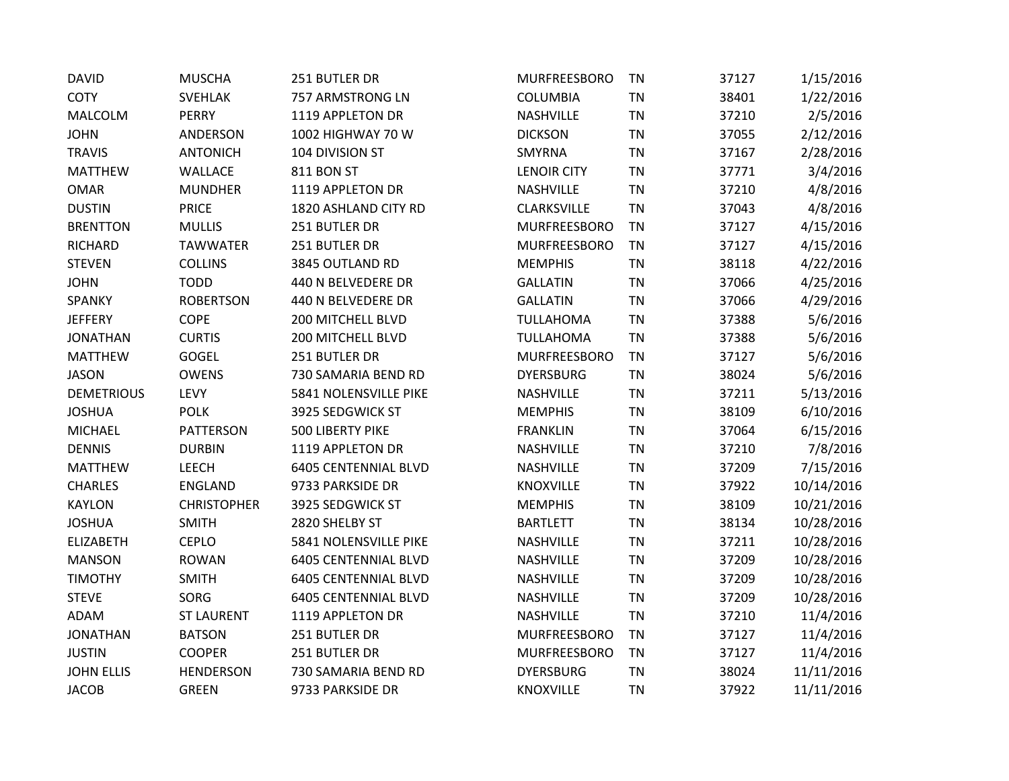| <b>DAVID</b>      | <b>MUSCHA</b>      | 251 BUTLER DR               | MURFREESBORO        | TN        | 37127 | 1/15/2016  |
|-------------------|--------------------|-----------------------------|---------------------|-----------|-------|------------|
| <b>COTY</b>       | <b>SVEHLAK</b>     | 757 ARMSTRONG LN            | <b>COLUMBIA</b>     | <b>TN</b> | 38401 | 1/22/2016  |
| MALCOLM           | <b>PERRY</b>       | 1119 APPLETON DR            | NASHVILLE           | TN        | 37210 | 2/5/2016   |
| <b>JOHN</b>       | ANDERSON           | 1002 HIGHWAY 70 W           | <b>DICKSON</b>      | <b>TN</b> | 37055 | 2/12/2016  |
| <b>TRAVIS</b>     | <b>ANTONICH</b>    | 104 DIVISION ST             | SMYRNA              | <b>TN</b> | 37167 | 2/28/2016  |
| <b>MATTHEW</b>    | WALLACE            | <b>811 BON ST</b>           | <b>LENOIR CITY</b>  | TN        | 37771 | 3/4/2016   |
| <b>OMAR</b>       | <b>MUNDHER</b>     | 1119 APPLETON DR            | NASHVILLE           | <b>TN</b> | 37210 | 4/8/2016   |
| <b>DUSTIN</b>     | <b>PRICE</b>       | 1820 ASHLAND CITY RD        | CLARKSVILLE         | <b>TN</b> | 37043 | 4/8/2016   |
| <b>BRENTTON</b>   | <b>MULLIS</b>      | 251 BUTLER DR               | MURFREESBORO        | <b>TN</b> | 37127 | 4/15/2016  |
| <b>RICHARD</b>    | <b>TAWWATER</b>    | 251 BUTLER DR               | <b>MURFREESBORO</b> | TN        | 37127 | 4/15/2016  |
| <b>STEVEN</b>     | <b>COLLINS</b>     | 3845 OUTLAND RD             | <b>MEMPHIS</b>      | <b>TN</b> | 38118 | 4/22/2016  |
| <b>JOHN</b>       | <b>TODD</b>        | 440 N BELVEDERE DR          | <b>GALLATIN</b>     | TN        | 37066 | 4/25/2016  |
| SPANKY            | <b>ROBERTSON</b>   | 440 N BELVEDERE DR          | <b>GALLATIN</b>     | <b>TN</b> | 37066 | 4/29/2016  |
| <b>JEFFERY</b>    | COPE               | 200 MITCHELL BLVD           | TULLAHOMA           | <b>TN</b> | 37388 | 5/6/2016   |
| <b>JONATHAN</b>   | <b>CURTIS</b>      | 200 MITCHELL BLVD           | <b>TULLAHOMA</b>    | TN        | 37388 | 5/6/2016   |
| <b>MATTHEW</b>    | <b>GOGEL</b>       | 251 BUTLER DR               | <b>MURFREESBORO</b> | TN        | 37127 | 5/6/2016   |
| <b>JASON</b>      | <b>OWENS</b>       | 730 SAMARIA BEND RD         | <b>DYERSBURG</b>    | <b>TN</b> | 38024 | 5/6/2016   |
| <b>DEMETRIOUS</b> | LEVY               | 5841 NOLENSVILLE PIKE       | NASHVILLE           | <b>TN</b> | 37211 | 5/13/2016  |
| <b>JOSHUA</b>     | <b>POLK</b>        | 3925 SEDGWICK ST            | <b>MEMPHIS</b>      | <b>TN</b> | 38109 | 6/10/2016  |
| <b>MICHAEL</b>    | <b>PATTERSON</b>   | <b>500 LIBERTY PIKE</b>     | <b>FRANKLIN</b>     | <b>TN</b> | 37064 | 6/15/2016  |
| <b>DENNIS</b>     | <b>DURBIN</b>      | 1119 APPLETON DR            | NASHVILLE           | <b>TN</b> | 37210 | 7/8/2016   |
| <b>MATTHEW</b>    | LEECH              | <b>6405 CENTENNIAL BLVD</b> | NASHVILLE           | <b>TN</b> | 37209 | 7/15/2016  |
| <b>CHARLES</b>    | <b>ENGLAND</b>     | 9733 PARKSIDE DR            | KNOXVILLE           | <b>TN</b> | 37922 | 10/14/2016 |
| <b>KAYLON</b>     | <b>CHRISTOPHER</b> | 3925 SEDGWICK ST            | <b>MEMPHIS</b>      | TN        | 38109 | 10/21/2016 |
| <b>JOSHUA</b>     | <b>SMITH</b>       | 2820 SHELBY ST              | <b>BARTLETT</b>     | <b>TN</b> | 38134 | 10/28/2016 |
| <b>ELIZABETH</b>  | <b>CEPLO</b>       | 5841 NOLENSVILLE PIKE       | NASHVILLE           | <b>TN</b> | 37211 | 10/28/2016 |
| <b>MANSON</b>     | <b>ROWAN</b>       | <b>6405 CENTENNIAL BLVD</b> | NASHVILLE           | TN        | 37209 | 10/28/2016 |
| <b>TIMOTHY</b>    | <b>SMITH</b>       | <b>6405 CENTENNIAL BLVD</b> | NASHVILLE           | <b>TN</b> | 37209 | 10/28/2016 |
| <b>STEVE</b>      | SORG               | <b>6405 CENTENNIAL BLVD</b> | NASHVILLE           | <b>TN</b> | 37209 | 10/28/2016 |
| ADAM              | <b>ST LAURENT</b>  | 1119 APPLETON DR            | NASHVILLE           | TN        | 37210 | 11/4/2016  |
| <b>JONATHAN</b>   | <b>BATSON</b>      | 251 BUTLER DR               | MURFREESBORO        | TN        | 37127 | 11/4/2016  |
| <b>JUSTIN</b>     | <b>COOPER</b>      | 251 BUTLER DR               | <b>MURFREESBORO</b> | <b>TN</b> | 37127 | 11/4/2016  |
| <b>JOHN ELLIS</b> | <b>HENDERSON</b>   | 730 SAMARIA BEND RD         | <b>DYERSBURG</b>    | <b>TN</b> | 38024 | 11/11/2016 |
| <b>JACOB</b>      | <b>GREEN</b>       | 9733 PARKSIDE DR            | KNOXVILLE           | <b>TN</b> | 37922 | 11/11/2016 |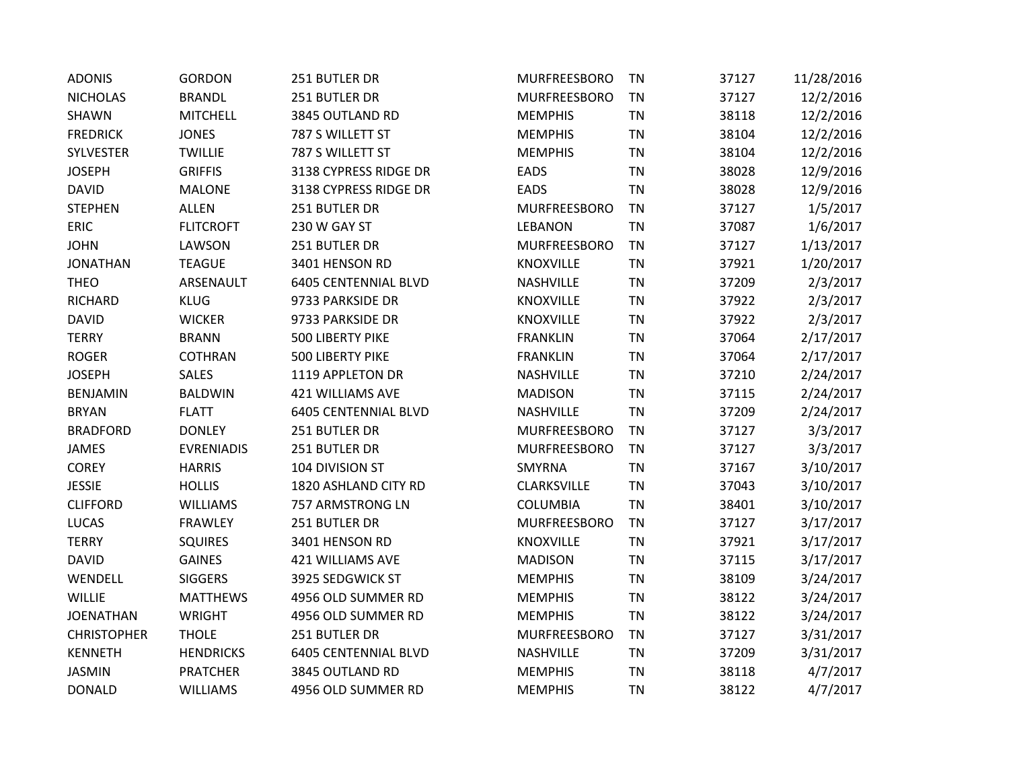| <b>ADONIS</b>      | <b>GORDON</b>     | 251 BUTLER DR               | MURFREESBORO     | <b>TN</b> | 37127 | 11/28/2016 |
|--------------------|-------------------|-----------------------------|------------------|-----------|-------|------------|
| <b>NICHOLAS</b>    | <b>BRANDL</b>     | 251 BUTLER DR               | MURFREESBORO     | <b>TN</b> | 37127 | 12/2/2016  |
| <b>SHAWN</b>       | <b>MITCHELL</b>   | 3845 OUTLAND RD             | <b>MEMPHIS</b>   | TN        | 38118 | 12/2/2016  |
| <b>FREDRICK</b>    | <b>JONES</b>      | 787 S WILLETT ST            | <b>MEMPHIS</b>   | <b>TN</b> | 38104 | 12/2/2016  |
| SYLVESTER          | <b>TWILLIE</b>    | 787 S WILLETT ST            | <b>MEMPHIS</b>   | <b>TN</b> | 38104 | 12/2/2016  |
| <b>JOSEPH</b>      | <b>GRIFFIS</b>    | 3138 CYPRESS RIDGE DR       | EADS             | <b>TN</b> | 38028 | 12/9/2016  |
| <b>DAVID</b>       | <b>MALONE</b>     | 3138 CYPRESS RIDGE DR       | <b>EADS</b>      | <b>TN</b> | 38028 | 12/9/2016  |
| <b>STEPHEN</b>     | <b>ALLEN</b>      | 251 BUTLER DR               | MURFREESBORO     | <b>TN</b> | 37127 | 1/5/2017   |
| <b>ERIC</b>        | <b>FLITCROFT</b>  | 230 W GAY ST                | <b>LEBANON</b>   | <b>TN</b> | 37087 | 1/6/2017   |
| <b>JOHN</b>        | LAWSON            | 251 BUTLER DR               | MURFREESBORO     | <b>TN</b> | 37127 | 1/13/2017  |
| <b>JONATHAN</b>    | <b>TEAGUE</b>     | 3401 HENSON RD              | <b>KNOXVILLE</b> | <b>TN</b> | 37921 | 1/20/2017  |
| <b>THEO</b>        | ARSENAULT         | <b>6405 CENTENNIAL BLVD</b> | NASHVILLE        | TN        | 37209 | 2/3/2017   |
| <b>RICHARD</b>     | <b>KLUG</b>       | 9733 PARKSIDE DR            | <b>KNOXVILLE</b> | <b>TN</b> | 37922 | 2/3/2017   |
| <b>DAVID</b>       | <b>WICKER</b>     | 9733 PARKSIDE DR            | <b>KNOXVILLE</b> | <b>TN</b> | 37922 | 2/3/2017   |
| <b>TERRY</b>       | <b>BRANN</b>      | 500 LIBERTY PIKE            | <b>FRANKLIN</b>  | <b>TN</b> | 37064 | 2/17/2017  |
| <b>ROGER</b>       | <b>COTHRAN</b>    | 500 LIBERTY PIKE            | <b>FRANKLIN</b>  | <b>TN</b> | 37064 | 2/17/2017  |
| <b>JOSEPH</b>      | <b>SALES</b>      | 1119 APPLETON DR            | NASHVILLE        | <b>TN</b> | 37210 | 2/24/2017  |
| <b>BENJAMIN</b>    | <b>BALDWIN</b>    | <b>421 WILLIAMS AVE</b>     | <b>MADISON</b>   | <b>TN</b> | 37115 | 2/24/2017  |
| <b>BRYAN</b>       | <b>FLATT</b>      | <b>6405 CENTENNIAL BLVD</b> | <b>NASHVILLE</b> | <b>TN</b> | 37209 | 2/24/2017  |
| <b>BRADFORD</b>    | <b>DONLEY</b>     | 251 BUTLER DR               | MURFREESBORO     | <b>TN</b> | 37127 | 3/3/2017   |
| JAMES              | <b>EVRENIADIS</b> | 251 BUTLER DR               | MURFREESBORO     | <b>TN</b> | 37127 | 3/3/2017   |
| <b>COREY</b>       | <b>HARRIS</b>     | 104 DIVISION ST             | SMYRNA           | <b>TN</b> | 37167 | 3/10/2017  |
| <b>JESSIE</b>      | <b>HOLLIS</b>     | 1820 ASHLAND CITY RD        | CLARKSVILLE      | <b>TN</b> | 37043 | 3/10/2017  |
| <b>CLIFFORD</b>    | <b>WILLIAMS</b>   | 757 ARMSTRONG LN            | <b>COLUMBIA</b>  | <b>TN</b> | 38401 | 3/10/2017  |
| <b>LUCAS</b>       | <b>FRAWLEY</b>    | 251 BUTLER DR               | MURFREESBORO     | <b>TN</b> | 37127 | 3/17/2017  |
| <b>TERRY</b>       | <b>SQUIRES</b>    | 3401 HENSON RD              | KNOXVILLE        | <b>TN</b> | 37921 | 3/17/2017  |
| <b>DAVID</b>       | <b>GAINES</b>     | 421 WILLIAMS AVE            | <b>MADISON</b>   | <b>TN</b> | 37115 | 3/17/2017  |
| WENDELL            | <b>SIGGERS</b>    | 3925 SEDGWICK ST            | <b>MEMPHIS</b>   | <b>TN</b> | 38109 | 3/24/2017  |
| WILLIE             | <b>MATTHEWS</b>   | 4956 OLD SUMMER RD          | <b>MEMPHIS</b>   | <b>TN</b> | 38122 | 3/24/2017  |
| <b>JOENATHAN</b>   | WRIGHT            | 4956 OLD SUMMER RD          | <b>MEMPHIS</b>   | <b>TN</b> | 38122 | 3/24/2017  |
| <b>CHRISTOPHER</b> | <b>THOLE</b>      | 251 BUTLER DR               | MURFREESBORO     | <b>TN</b> | 37127 | 3/31/2017  |
| <b>KENNETH</b>     | <b>HENDRICKS</b>  | <b>6405 CENTENNIAL BLVD</b> | <b>NASHVILLE</b> | <b>TN</b> | 37209 | 3/31/2017  |
| <b>JASMIN</b>      | <b>PRATCHER</b>   | 3845 OUTLAND RD             | <b>MEMPHIS</b>   | <b>TN</b> | 38118 | 4/7/2017   |
| <b>DONALD</b>      | <b>WILLIAMS</b>   | 4956 OLD SUMMER RD          | <b>MEMPHIS</b>   | <b>TN</b> | 38122 | 4/7/2017   |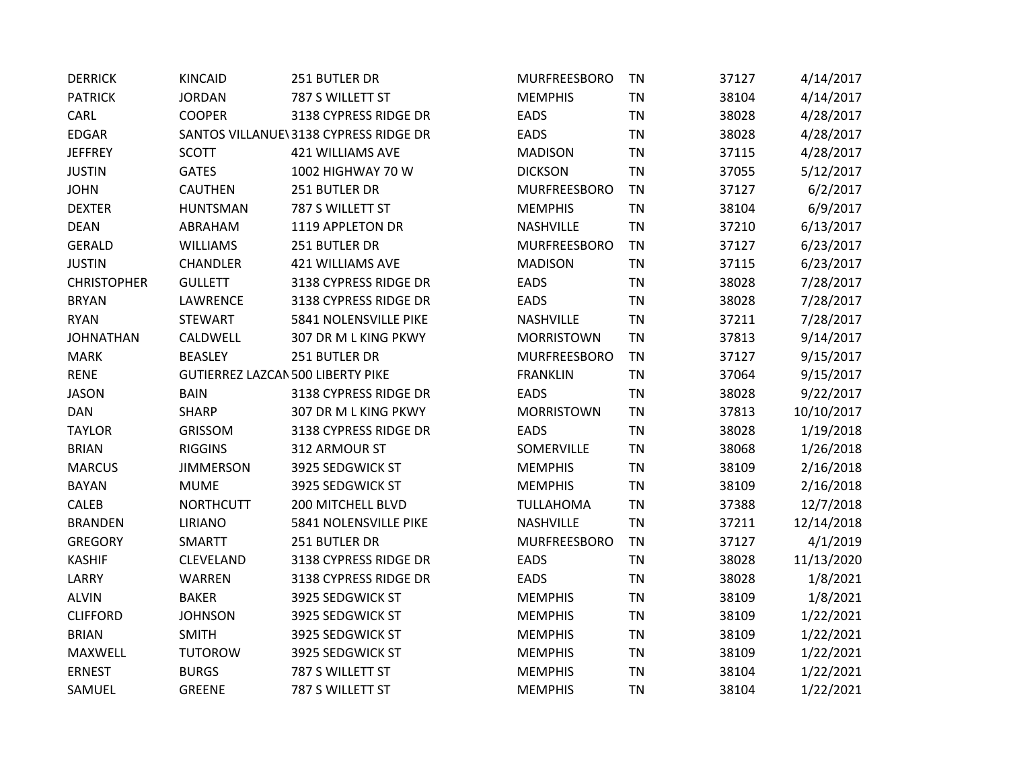| <b>DERRICK</b>     | <b>KINCAID</b>   | 251 BUTLER DR                         | MURFREESBORO      | <b>TN</b> | 37127 | 4/14/2017  |
|--------------------|------------------|---------------------------------------|-------------------|-----------|-------|------------|
| <b>PATRICK</b>     | <b>JORDAN</b>    | 787 S WILLETT ST                      | <b>MEMPHIS</b>    | <b>TN</b> | 38104 | 4/14/2017  |
| CARL               | <b>COOPER</b>    | 3138 CYPRESS RIDGE DR                 | <b>EADS</b>       | TN        | 38028 | 4/28/2017  |
| <b>EDGAR</b>       |                  | SANTOS VILLANUE\3138 CYPRESS RIDGE DR | <b>EADS</b>       | <b>TN</b> | 38028 | 4/28/2017  |
| <b>JEFFREY</b>     | <b>SCOTT</b>     | <b>421 WILLIAMS AVE</b>               | <b>MADISON</b>    | <b>TN</b> | 37115 | 4/28/2017  |
| <b>JUSTIN</b>      | <b>GATES</b>     | 1002 HIGHWAY 70 W                     | <b>DICKSON</b>    | <b>TN</b> | 37055 | 5/12/2017  |
| <b>JOHN</b>        | <b>CAUTHEN</b>   | 251 BUTLER DR                         | MURFREESBORO      | <b>TN</b> | 37127 | 6/2/2017   |
| <b>DEXTER</b>      | <b>HUNTSMAN</b>  | 787 S WILLETT ST                      | <b>MEMPHIS</b>    | <b>TN</b> | 38104 | 6/9/2017   |
| <b>DEAN</b>        | ABRAHAM          | 1119 APPLETON DR                      | NASHVILLE         | <b>TN</b> | 37210 | 6/13/2017  |
| GERALD             | <b>WILLIAMS</b>  | 251 BUTLER DR                         | MURFREESBORO      | <b>TN</b> | 37127 | 6/23/2017  |
| <b>JUSTIN</b>      | <b>CHANDLER</b>  | 421 WILLIAMS AVE                      | <b>MADISON</b>    | <b>TN</b> | 37115 | 6/23/2017  |
| <b>CHRISTOPHER</b> | <b>GULLETT</b>   | 3138 CYPRESS RIDGE DR                 | <b>EADS</b>       | <b>TN</b> | 38028 | 7/28/2017  |
| <b>BRYAN</b>       | LAWRENCE         | 3138 CYPRESS RIDGE DR                 | <b>EADS</b>       | TN        | 38028 | 7/28/2017  |
| <b>RYAN</b>        | <b>STEWART</b>   | 5841 NOLENSVILLE PIKE                 | NASHVILLE         | <b>TN</b> | 37211 | 7/28/2017  |
| <b>JOHNATHAN</b>   | CALDWELL         | 307 DR M L KING PKWY                  | <b>MORRISTOWN</b> | <b>TN</b> | 37813 | 9/14/2017  |
| <b>MARK</b>        | <b>BEASLEY</b>   | 251 BUTLER DR                         | MURFREESBORO      | <b>TN</b> | 37127 | 9/15/2017  |
| <b>RENE</b>        |                  | GUTIERREZ LAZCAN 500 LIBERTY PIKE     | <b>FRANKLIN</b>   | <b>TN</b> | 37064 | 9/15/2017  |
| <b>JASON</b>       | <b>BAIN</b>      | 3138 CYPRESS RIDGE DR                 | <b>EADS</b>       | <b>TN</b> | 38028 | 9/22/2017  |
| <b>DAN</b>         | <b>SHARP</b>     | 307 DR M L KING PKWY                  | <b>MORRISTOWN</b> | <b>TN</b> | 37813 | 10/10/2017 |
| <b>TAYLOR</b>      | GRISSOM          | 3138 CYPRESS RIDGE DR                 | <b>EADS</b>       | TN        | 38028 | 1/19/2018  |
| <b>BRIAN</b>       | <b>RIGGINS</b>   | 312 ARMOUR ST                         | SOMERVILLE        | <b>TN</b> | 38068 | 1/26/2018  |
| <b>MARCUS</b>      | <b>JIMMERSON</b> | 3925 SEDGWICK ST                      | <b>MEMPHIS</b>    | <b>TN</b> | 38109 | 2/16/2018  |
| <b>BAYAN</b>       | <b>MUME</b>      | 3925 SEDGWICK ST                      | <b>MEMPHIS</b>    | <b>TN</b> | 38109 | 2/16/2018  |
| CALEB              | <b>NORTHCUTT</b> | 200 MITCHELL BLVD                     | <b>TULLAHOMA</b>  | <b>TN</b> | 37388 | 12/7/2018  |
| <b>BRANDEN</b>     | <b>LIRIANO</b>   | 5841 NOLENSVILLE PIKE                 | NASHVILLE         | <b>TN</b> | 37211 | 12/14/2018 |
| <b>GREGORY</b>     | SMARTT           | 251 BUTLER DR                         | MURFREESBORO      | TN        | 37127 | 4/1/2019   |
| <b>KASHIF</b>      | CLEVELAND        | 3138 CYPRESS RIDGE DR                 | <b>EADS</b>       | <b>TN</b> | 38028 | 11/13/2020 |
| LARRY              | <b>WARREN</b>    | 3138 CYPRESS RIDGE DR                 | <b>EADS</b>       | <b>TN</b> | 38028 | 1/8/2021   |
| <b>ALVIN</b>       | <b>BAKER</b>     | 3925 SEDGWICK ST                      | <b>MEMPHIS</b>    | TN        | 38109 | 1/8/2021   |
| <b>CLIFFORD</b>    | <b>JOHNSON</b>   | 3925 SEDGWICK ST                      | <b>MEMPHIS</b>    | <b>TN</b> | 38109 | 1/22/2021  |
| <b>BRIAN</b>       | <b>SMITH</b>     | 3925 SEDGWICK ST                      | <b>MEMPHIS</b>    | <b>TN</b> | 38109 | 1/22/2021  |
| MAXWELL            | <b>TUTOROW</b>   | 3925 SEDGWICK ST                      | <b>MEMPHIS</b>    | <b>TN</b> | 38109 | 1/22/2021  |
| <b>ERNEST</b>      | <b>BURGS</b>     | 787 S WILLETT ST                      | <b>MEMPHIS</b>    | <b>TN</b> | 38104 | 1/22/2021  |
| SAMUEL             | <b>GREENE</b>    | 787 S WILLETT ST                      | <b>MEMPHIS</b>    | <b>TN</b> | 38104 | 1/22/2021  |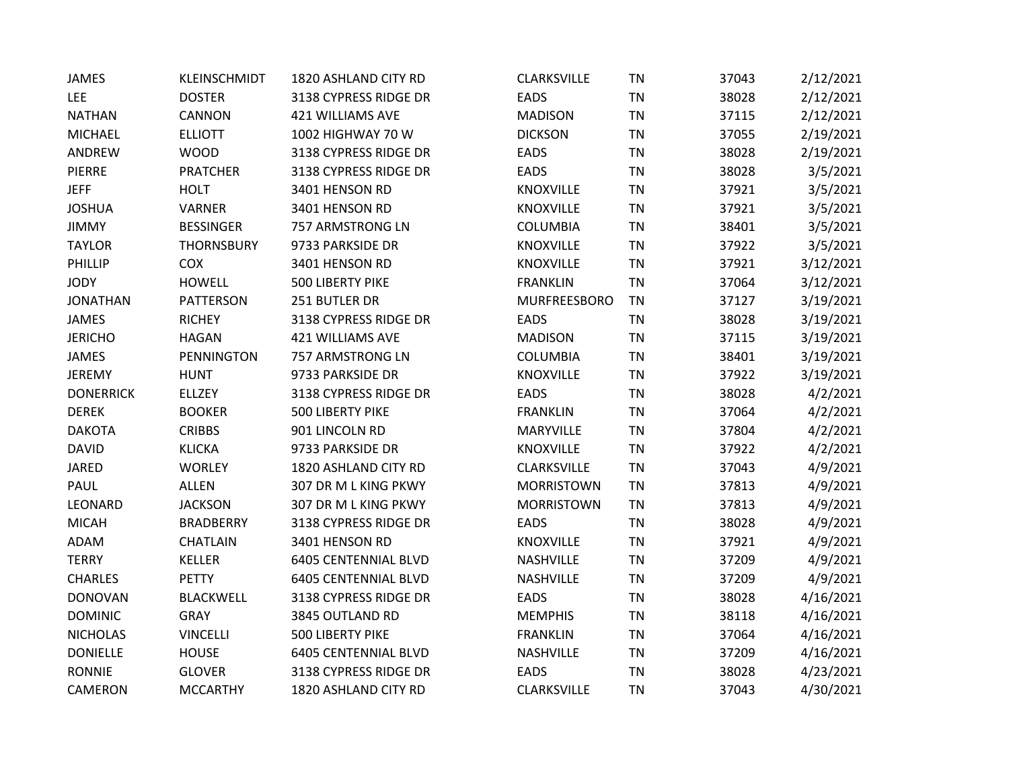| <b>JAMES</b>     | KLEINSCHMIDT      | 1820 ASHLAND CITY RD        | CLARKSVILLE        | <b>TN</b> | 37043 | 2/12/2021 |
|------------------|-------------------|-----------------------------|--------------------|-----------|-------|-----------|
| LEE              | <b>DOSTER</b>     | 3138 CYPRESS RIDGE DR       | <b>EADS</b>        | <b>TN</b> | 38028 | 2/12/2021 |
| <b>NATHAN</b>    | CANNON            | 421 WILLIAMS AVE            | <b>MADISON</b>     | <b>TN</b> | 37115 | 2/12/2021 |
| <b>MICHAEL</b>   | <b>ELLIOTT</b>    | 1002 HIGHWAY 70 W           | <b>DICKSON</b>     | <b>TN</b> | 37055 | 2/19/2021 |
| ANDREW           | <b>WOOD</b>       | 3138 CYPRESS RIDGE DR       | <b>EADS</b>        | <b>TN</b> | 38028 | 2/19/2021 |
| <b>PIERRE</b>    | <b>PRATCHER</b>   | 3138 CYPRESS RIDGE DR       | <b>EADS</b>        | <b>TN</b> | 38028 | 3/5/2021  |
| <b>JEFF</b>      | <b>HOLT</b>       | 3401 HENSON RD              | KNOXVILLE          | <b>TN</b> | 37921 | 3/5/2021  |
| <b>JOSHUA</b>    | VARNER            | 3401 HENSON RD              | KNOXVILLE          | <b>TN</b> | 37921 | 3/5/2021  |
| <b>JIMMY</b>     | <b>BESSINGER</b>  | 757 ARMSTRONG LN            | <b>COLUMBIA</b>    | <b>TN</b> | 38401 | 3/5/2021  |
| <b>TAYLOR</b>    | <b>THORNSBURY</b> | 9733 PARKSIDE DR            | <b>KNOXVILLE</b>   | <b>TN</b> | 37922 | 3/5/2021  |
| PHILLIP          | COX               | 3401 HENSON RD              | KNOXVILLE          | <b>TN</b> | 37921 | 3/12/2021 |
| <b>JODY</b>      | <b>HOWELL</b>     | 500 LIBERTY PIKE            | <b>FRANKLIN</b>    | <b>TN</b> | 37064 | 3/12/2021 |
| <b>JONATHAN</b>  | PATTERSON         | 251 BUTLER DR               | MURFREESBORO       | <b>TN</b> | 37127 | 3/19/2021 |
| <b>JAMES</b>     | <b>RICHEY</b>     | 3138 CYPRESS RIDGE DR       | <b>EADS</b>        | <b>TN</b> | 38028 | 3/19/2021 |
| <b>JERICHO</b>   | <b>HAGAN</b>      | <b>421 WILLIAMS AVE</b>     | <b>MADISON</b>     | <b>TN</b> | 37115 | 3/19/2021 |
| JAMES            | <b>PENNINGTON</b> | 757 ARMSTRONG LN            | COLUMBIA           | <b>TN</b> | 38401 | 3/19/2021 |
| JEREMY           | <b>HUNT</b>       | 9733 PARKSIDE DR            | <b>KNOXVILLE</b>   | <b>TN</b> | 37922 | 3/19/2021 |
| <b>DONERRICK</b> | <b>ELLZEY</b>     | 3138 CYPRESS RIDGE DR       | <b>EADS</b>        | <b>TN</b> | 38028 | 4/2/2021  |
| <b>DEREK</b>     | <b>BOOKER</b>     | 500 LIBERTY PIKE            | <b>FRANKLIN</b>    | <b>TN</b> | 37064 | 4/2/2021  |
| <b>DAKOTA</b>    | <b>CRIBBS</b>     | 901 LINCOLN RD              | <b>MARYVILLE</b>   | <b>TN</b> | 37804 | 4/2/2021  |
| <b>DAVID</b>     | <b>KLICKA</b>     | 9733 PARKSIDE DR            | KNOXVILLE          | <b>TN</b> | 37922 | 4/2/2021  |
| <b>JARED</b>     | <b>WORLEY</b>     | 1820 ASHLAND CITY RD        | <b>CLARKSVILLE</b> | <b>TN</b> | 37043 | 4/9/2021  |
| PAUL             | <b>ALLEN</b>      | 307 DR M L KING PKWY        | <b>MORRISTOWN</b>  | <b>TN</b> | 37813 | 4/9/2021  |
| LEONARD          | <b>JACKSON</b>    | 307 DR M L KING PKWY        | <b>MORRISTOWN</b>  | <b>TN</b> | 37813 | 4/9/2021  |
| <b>MICAH</b>     | <b>BRADBERRY</b>  | 3138 CYPRESS RIDGE DR       | <b>EADS</b>        | <b>TN</b> | 38028 | 4/9/2021  |
| ADAM             | <b>CHATLAIN</b>   | 3401 HENSON RD              | <b>KNOXVILLE</b>   | <b>TN</b> | 37921 | 4/9/2021  |
| <b>TERRY</b>     | <b>KELLER</b>     | <b>6405 CENTENNIAL BLVD</b> | <b>NASHVILLE</b>   | <b>TN</b> | 37209 | 4/9/2021  |
| <b>CHARLES</b>   | <b>PETTY</b>      | <b>6405 CENTENNIAL BLVD</b> | <b>NASHVILLE</b>   | <b>TN</b> | 37209 | 4/9/2021  |
| <b>DONOVAN</b>   | <b>BLACKWELL</b>  | 3138 CYPRESS RIDGE DR       | <b>EADS</b>        | <b>TN</b> | 38028 | 4/16/2021 |
| <b>DOMINIC</b>   | <b>GRAY</b>       | 3845 OUTLAND RD             | <b>MEMPHIS</b>     | <b>TN</b> | 38118 | 4/16/2021 |
| <b>NICHOLAS</b>  | <b>VINCELLI</b>   | 500 LIBERTY PIKE            | <b>FRANKLIN</b>    | <b>TN</b> | 37064 | 4/16/2021 |
| <b>DONIELLE</b>  | <b>HOUSE</b>      | <b>6405 CENTENNIAL BLVD</b> | <b>NASHVILLE</b>   | <b>TN</b> | 37209 | 4/16/2021 |
| <b>RONNIE</b>    | <b>GLOVER</b>     | 3138 CYPRESS RIDGE DR       | <b>EADS</b>        | <b>TN</b> | 38028 | 4/23/2021 |
| CAMERON          | <b>MCCARTHY</b>   | 1820 ASHLAND CITY RD        | <b>CLARKSVILLE</b> | <b>TN</b> | 37043 | 4/30/2021 |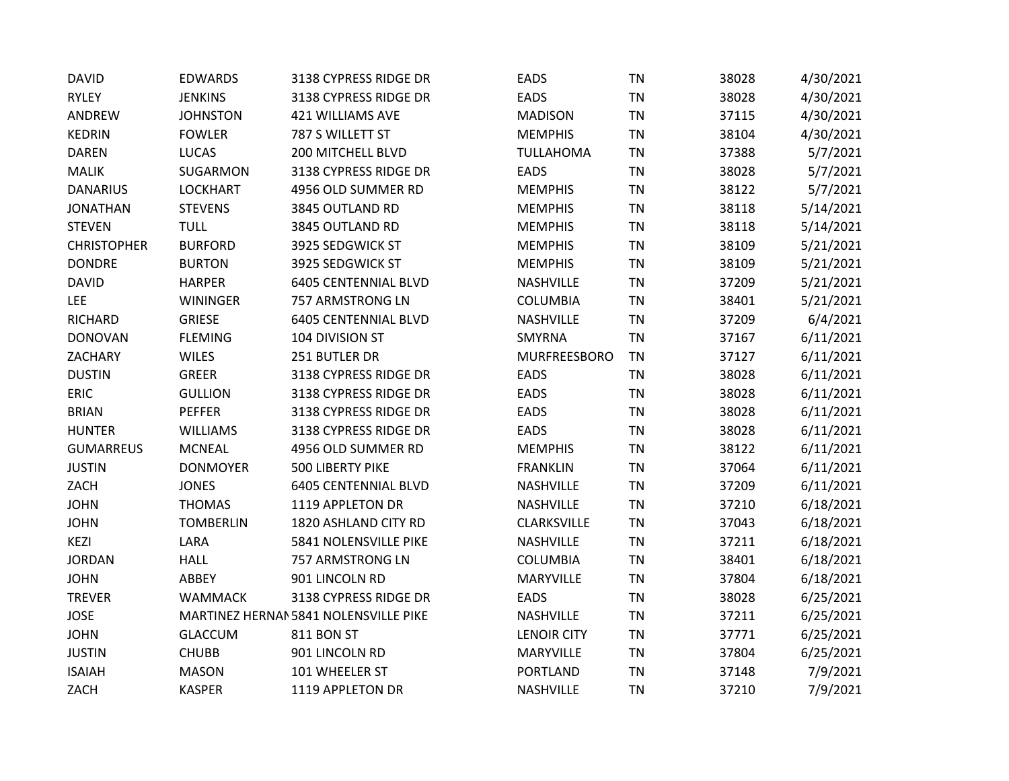| <b>DAVID</b>       | <b>EDWARDS</b>   | 3138 CYPRESS RIDGE DR                 | <b>EADS</b>        | TN        | 38028 | 4/30/2021 |
|--------------------|------------------|---------------------------------------|--------------------|-----------|-------|-----------|
| <b>RYLEY</b>       | <b>JENKINS</b>   | 3138 CYPRESS RIDGE DR                 | <b>EADS</b>        | <b>TN</b> | 38028 | 4/30/2021 |
| ANDREW             | <b>JOHNSTON</b>  | 421 WILLIAMS AVE                      | <b>MADISON</b>     | <b>TN</b> | 37115 | 4/30/2021 |
| <b>KEDRIN</b>      | <b>FOWLER</b>    | 787 S WILLETT ST                      | <b>MEMPHIS</b>     | <b>TN</b> | 38104 | 4/30/2021 |
| <b>DAREN</b>       | <b>LUCAS</b>     | 200 MITCHELL BLVD                     | <b>TULLAHOMA</b>   | <b>TN</b> | 37388 | 5/7/2021  |
| <b>MALIK</b>       | SUGARMON         | 3138 CYPRESS RIDGE DR                 | EADS               | <b>TN</b> | 38028 | 5/7/2021  |
| <b>DANARIUS</b>    | <b>LOCKHART</b>  | 4956 OLD SUMMER RD                    | <b>MEMPHIS</b>     | <b>TN</b> | 38122 | 5/7/2021  |
| <b>JONATHAN</b>    | <b>STEVENS</b>   | 3845 OUTLAND RD                       | <b>MEMPHIS</b>     | <b>TN</b> | 38118 | 5/14/2021 |
| <b>STEVEN</b>      | <b>TULL</b>      | 3845 OUTLAND RD                       | <b>MEMPHIS</b>     | <b>TN</b> | 38118 | 5/14/2021 |
| <b>CHRISTOPHER</b> | <b>BURFORD</b>   | 3925 SEDGWICK ST                      | <b>MEMPHIS</b>     | <b>TN</b> | 38109 | 5/21/2021 |
| <b>DONDRE</b>      | <b>BURTON</b>    | 3925 SEDGWICK ST                      | <b>MEMPHIS</b>     | <b>TN</b> | 38109 | 5/21/2021 |
| <b>DAVID</b>       | <b>HARPER</b>    | <b>6405 CENTENNIAL BLVD</b>           | NASHVILLE          | <b>TN</b> | 37209 | 5/21/2021 |
| LEE                | <b>WININGER</b>  | 757 ARMSTRONG LN                      | <b>COLUMBIA</b>    | <b>TN</b> | 38401 | 5/21/2021 |
| <b>RICHARD</b>     | <b>GRIESE</b>    | <b>6405 CENTENNIAL BLVD</b>           | NASHVILLE          | <b>TN</b> | 37209 | 6/4/2021  |
| <b>DONOVAN</b>     | <b>FLEMING</b>   | 104 DIVISION ST                       | SMYRNA             | <b>TN</b> | 37167 | 6/11/2021 |
| ZACHARY            | <b>WILES</b>     | 251 BUTLER DR                         | MURFREESBORO       | <b>TN</b> | 37127 | 6/11/2021 |
| <b>DUSTIN</b>      | <b>GREER</b>     | 3138 CYPRESS RIDGE DR                 | <b>EADS</b>        | <b>TN</b> | 38028 | 6/11/2021 |
| <b>ERIC</b>        | <b>GULLION</b>   | 3138 CYPRESS RIDGE DR                 | <b>EADS</b>        | <b>TN</b> | 38028 | 6/11/2021 |
| <b>BRIAN</b>       | <b>PEFFER</b>    | 3138 CYPRESS RIDGE DR                 | <b>EADS</b>        | <b>TN</b> | 38028 | 6/11/2021 |
| <b>HUNTER</b>      | <b>WILLIAMS</b>  | 3138 CYPRESS RIDGE DR                 | EADS               | <b>TN</b> | 38028 | 6/11/2021 |
| <b>GUMARREUS</b>   | <b>MCNEAL</b>    | 4956 OLD SUMMER RD                    | <b>MEMPHIS</b>     | <b>TN</b> | 38122 | 6/11/2021 |
| <b>JUSTIN</b>      | <b>DONMOYER</b>  | 500 LIBERTY PIKE                      | <b>FRANKLIN</b>    | <b>TN</b> | 37064 | 6/11/2021 |
| ZACH               | <b>JONES</b>     | <b>6405 CENTENNIAL BLVD</b>           | NASHVILLE          | <b>TN</b> | 37209 | 6/11/2021 |
| <b>JOHN</b>        | <b>THOMAS</b>    | 1119 APPLETON DR                      | NASHVILLE          | <b>TN</b> | 37210 | 6/18/2021 |
| <b>JOHN</b>        | <b>TOMBERLIN</b> | 1820 ASHLAND CITY RD                  | CLARKSVILLE        | <b>TN</b> | 37043 | 6/18/2021 |
| <b>KEZI</b>        | LARA             | 5841 NOLENSVILLE PIKE                 | NASHVILLE          | <b>TN</b> | 37211 | 6/18/2021 |
| <b>JORDAN</b>      | <b>HALL</b>      | 757 ARMSTRONG LN                      | <b>COLUMBIA</b>    | <b>TN</b> | 38401 | 6/18/2021 |
| <b>JOHN</b>        | ABBEY            | 901 LINCOLN RD                        | <b>MARYVILLE</b>   | <b>TN</b> | 37804 | 6/18/2021 |
| <b>TREVER</b>      | <b>WAMMACK</b>   | 3138 CYPRESS RIDGE DR                 | <b>EADS</b>        | <b>TN</b> | 38028 | 6/25/2021 |
| <b>JOSE</b>        |                  | MARTINEZ HERNAI 5841 NOLENSVILLE PIKE | NASHVILLE          | <b>TN</b> | 37211 | 6/25/2021 |
| <b>JOHN</b>        | <b>GLACCUM</b>   | <b>811 BON ST</b>                     | <b>LENOIR CITY</b> | <b>TN</b> | 37771 | 6/25/2021 |
| <b>JUSTIN</b>      | <b>CHUBB</b>     | 901 LINCOLN RD                        | <b>MARYVILLE</b>   | <b>TN</b> | 37804 | 6/25/2021 |
| <b>ISAIAH</b>      | <b>MASON</b>     | 101 WHEELER ST                        | <b>PORTLAND</b>    | <b>TN</b> | 37148 | 7/9/2021  |
| ZACH               | <b>KASPER</b>    | 1119 APPLETON DR                      | NASHVILLE          | <b>TN</b> | 37210 | 7/9/2021  |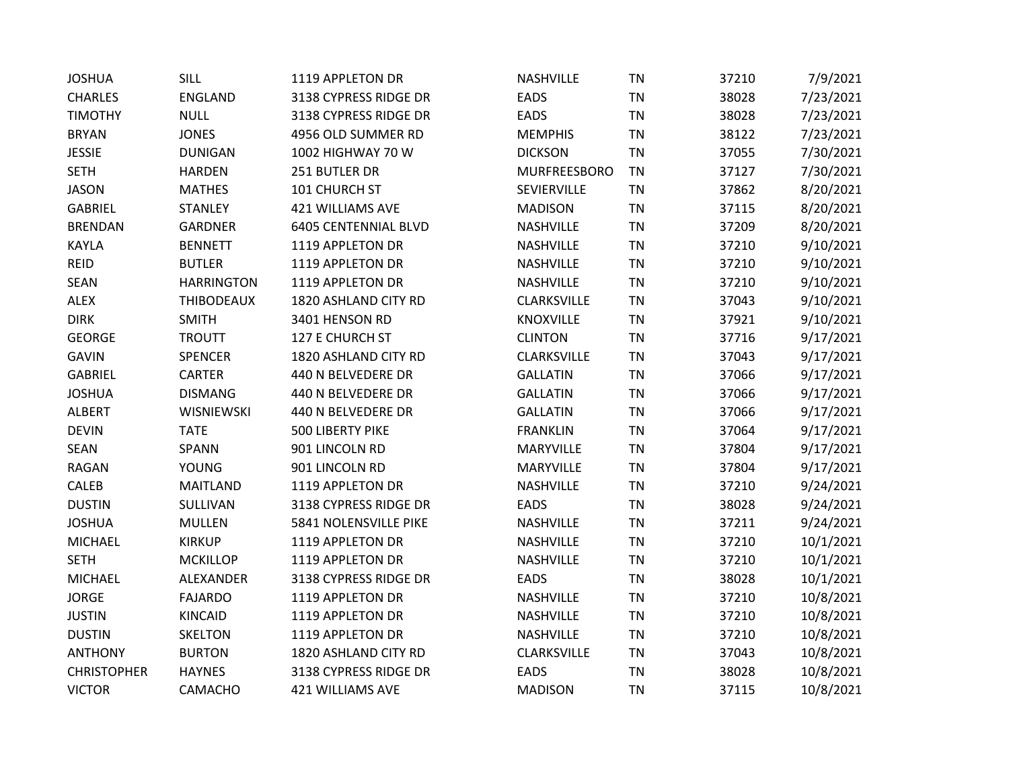| <b>JOSHUA</b>      | SILL              | 1119 APPLETON DR            | NASHVILLE           | <b>TN</b> | 37210 | 7/9/2021  |
|--------------------|-------------------|-----------------------------|---------------------|-----------|-------|-----------|
| <b>CHARLES</b>     | <b>ENGLAND</b>    | 3138 CYPRESS RIDGE DR       | <b>EADS</b>         | <b>TN</b> | 38028 | 7/23/2021 |
| <b>TIMOTHY</b>     | <b>NULL</b>       | 3138 CYPRESS RIDGE DR       | <b>EADS</b>         | <b>TN</b> | 38028 | 7/23/2021 |
| <b>BRYAN</b>       | <b>JONES</b>      | 4956 OLD SUMMER RD          | <b>MEMPHIS</b>      | <b>TN</b> | 38122 | 7/23/2021 |
| <b>JESSIE</b>      | <b>DUNIGAN</b>    | 1002 HIGHWAY 70 W           | <b>DICKSON</b>      | <b>TN</b> | 37055 | 7/30/2021 |
| <b>SETH</b>        | <b>HARDEN</b>     | 251 BUTLER DR               | <b>MURFREESBORO</b> | <b>TN</b> | 37127 | 7/30/2021 |
| <b>JASON</b>       | <b>MATHES</b>     | 101 CHURCH ST               | SEVIERVILLE         | <b>TN</b> | 37862 | 8/20/2021 |
| <b>GABRIEL</b>     | <b>STANLEY</b>    | 421 WILLIAMS AVE            | <b>MADISON</b>      | <b>TN</b> | 37115 | 8/20/2021 |
| <b>BRENDAN</b>     | <b>GARDNER</b>    | <b>6405 CENTENNIAL BLVD</b> | NASHVILLE           | <b>TN</b> | 37209 | 8/20/2021 |
| <b>KAYLA</b>       | <b>BENNETT</b>    | 1119 APPLETON DR            | NASHVILLE           | <b>TN</b> | 37210 | 9/10/2021 |
| <b>REID</b>        | <b>BUTLER</b>     | 1119 APPLETON DR            | NASHVILLE           | <b>TN</b> | 37210 | 9/10/2021 |
| <b>SEAN</b>        | <b>HARRINGTON</b> | 1119 APPLETON DR            | NASHVILLE           | <b>TN</b> | 37210 | 9/10/2021 |
| <b>ALEX</b>        | <b>THIBODEAUX</b> | 1820 ASHLAND CITY RD        | CLARKSVILLE         | <b>TN</b> | 37043 | 9/10/2021 |
| <b>DIRK</b>        | <b>SMITH</b>      | 3401 HENSON RD              | <b>KNOXVILLE</b>    | <b>TN</b> | 37921 | 9/10/2021 |
| <b>GEORGE</b>      | <b>TROUTT</b>     | 127 E CHURCH ST             | <b>CLINTON</b>      | <b>TN</b> | 37716 | 9/17/2021 |
| <b>GAVIN</b>       | <b>SPENCER</b>    | 1820 ASHLAND CITY RD        | CLARKSVILLE         | <b>TN</b> | 37043 | 9/17/2021 |
| <b>GABRIEL</b>     | <b>CARTER</b>     | 440 N BELVEDERE DR          | <b>GALLATIN</b>     | <b>TN</b> | 37066 | 9/17/2021 |
| <b>JOSHUA</b>      | <b>DISMANG</b>    | 440 N BELVEDERE DR          | <b>GALLATIN</b>     | <b>TN</b> | 37066 | 9/17/2021 |
| ALBERT             | <b>WISNIEWSKI</b> | 440 N BELVEDERE DR          | <b>GALLATIN</b>     | <b>TN</b> | 37066 | 9/17/2021 |
| <b>DEVIN</b>       | <b>TATE</b>       | 500 LIBERTY PIKE            | <b>FRANKLIN</b>     | <b>TN</b> | 37064 | 9/17/2021 |
| <b>SEAN</b>        | SPANN             | 901 LINCOLN RD              | <b>MARYVILLE</b>    | <b>TN</b> | 37804 | 9/17/2021 |
| <b>RAGAN</b>       | <b>YOUNG</b>      | 901 LINCOLN RD              | <b>MARYVILLE</b>    | <b>TN</b> | 37804 | 9/17/2021 |
| CALEB              | <b>MAITLAND</b>   | 1119 APPLETON DR            | NASHVILLE           | <b>TN</b> | 37210 | 9/24/2021 |
| <b>DUSTIN</b>      | SULLIVAN          | 3138 CYPRESS RIDGE DR       | <b>EADS</b>         | <b>TN</b> | 38028 | 9/24/2021 |
| <b>JOSHUA</b>      | <b>MULLEN</b>     | 5841 NOLENSVILLE PIKE       | NASHVILLE           | <b>TN</b> | 37211 | 9/24/2021 |
| <b>MICHAEL</b>     | <b>KIRKUP</b>     | 1119 APPLETON DR            | NASHVILLE           | <b>TN</b> | 37210 | 10/1/2021 |
| <b>SETH</b>        | <b>MCKILLOP</b>   | 1119 APPLETON DR            | NASHVILLE           | <b>TN</b> | 37210 | 10/1/2021 |
| <b>MICHAEL</b>     | ALEXANDER         | 3138 CYPRESS RIDGE DR       | <b>EADS</b>         | <b>TN</b> | 38028 | 10/1/2021 |
| <b>JORGE</b>       | <b>FAJARDO</b>    | 1119 APPLETON DR            | NASHVILLE           | <b>TN</b> | 37210 | 10/8/2021 |
| <b>JUSTIN</b>      | <b>KINCAID</b>    | 1119 APPLETON DR            | NASHVILLE           | <b>TN</b> | 37210 | 10/8/2021 |
| <b>DUSTIN</b>      | <b>SKELTON</b>    | 1119 APPLETON DR            | <b>NASHVILLE</b>    | <b>TN</b> | 37210 | 10/8/2021 |
| <b>ANTHONY</b>     | <b>BURTON</b>     | 1820 ASHLAND CITY RD        | CLARKSVILLE         | <b>TN</b> | 37043 | 10/8/2021 |
| <b>CHRISTOPHER</b> | <b>HAYNES</b>     | 3138 CYPRESS RIDGE DR       | <b>EADS</b>         | <b>TN</b> | 38028 | 10/8/2021 |
| <b>VICTOR</b>      | CAMACHO           | <b>421 WILLIAMS AVE</b>     | <b>MADISON</b>      | <b>TN</b> | 37115 | 10/8/2021 |